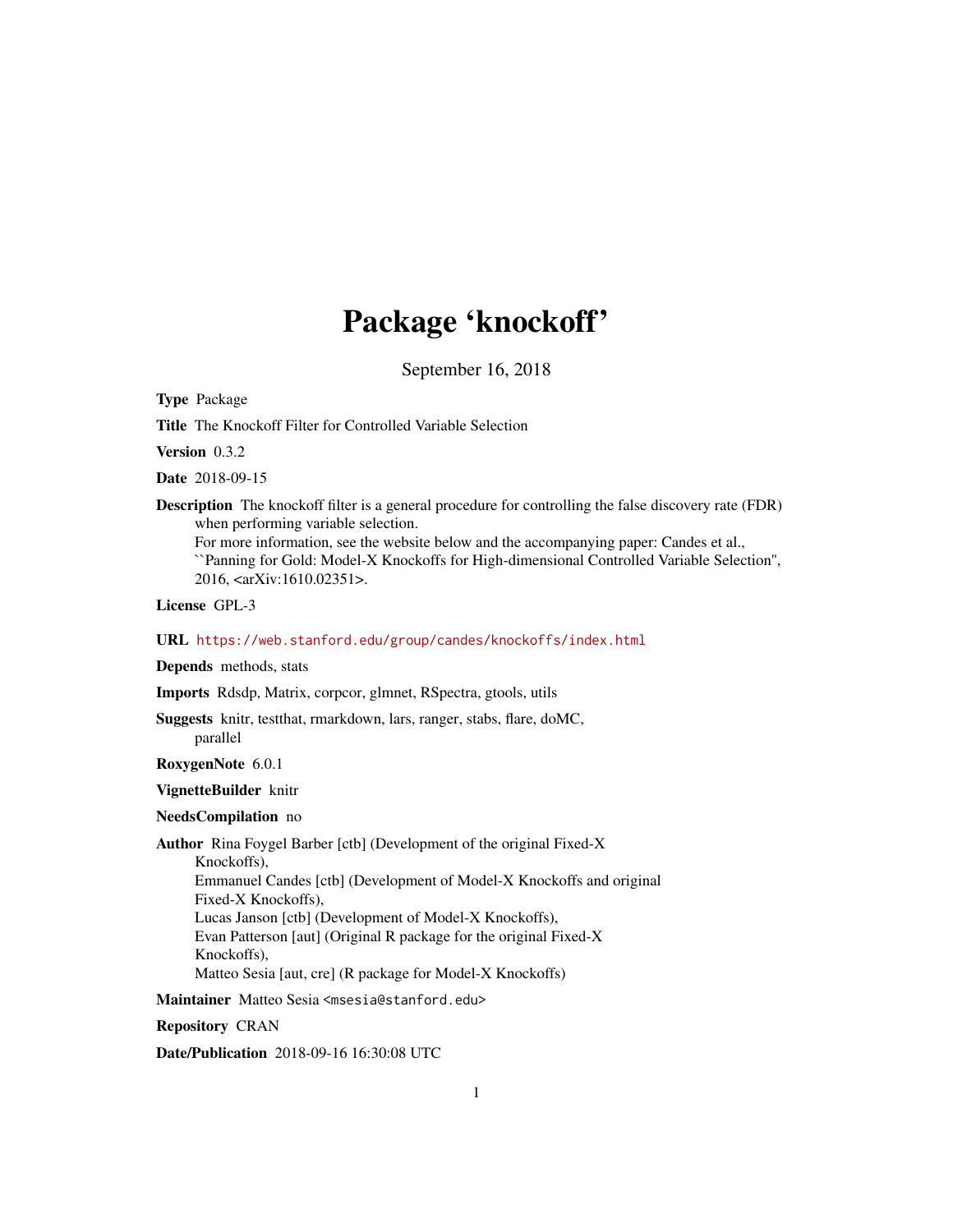# Package 'knockoff'

September 16, 2018

<span id="page-0-0"></span>Type Package

Title The Knockoff Filter for Controlled Variable Selection

Version 0.3.2

Date 2018-09-15

Description The knockoff filter is a general procedure for controlling the false discovery rate (FDR) when performing variable selection.

For more information, see the website below and the accompanying paper: Candes et al., ``Panning for Gold: Model-X Knockoffs for High-dimensional Controlled Variable Selection'', 2016, <arXiv:1610.02351>.

License GPL-3

# URL <https://web.stanford.edu/group/candes/knockoffs/index.html>

Depends methods, stats

Imports Rdsdp, Matrix, corpcor, glmnet, RSpectra, gtools, utils

Suggests knitr, testthat, rmarkdown, lars, ranger, stabs, flare, doMC, parallel

RoxygenNote 6.0.1

VignetteBuilder knitr

#### NeedsCompilation no

Author Rina Foygel Barber [ctb] (Development of the original Fixed-X Knockoffs), Emmanuel Candes [ctb] (Development of Model-X Knockoffs and original Fixed-X Knockoffs), Lucas Janson [ctb] (Development of Model-X Knockoffs), Evan Patterson [aut] (Original R package for the original Fixed-X Knockoffs), Matteo Sesia [aut, cre] (R package for Model-X Knockoffs)

Maintainer Matteo Sesia <msesia@stanford.edu>

Repository CRAN

Date/Publication 2018-09-16 16:30:08 UTC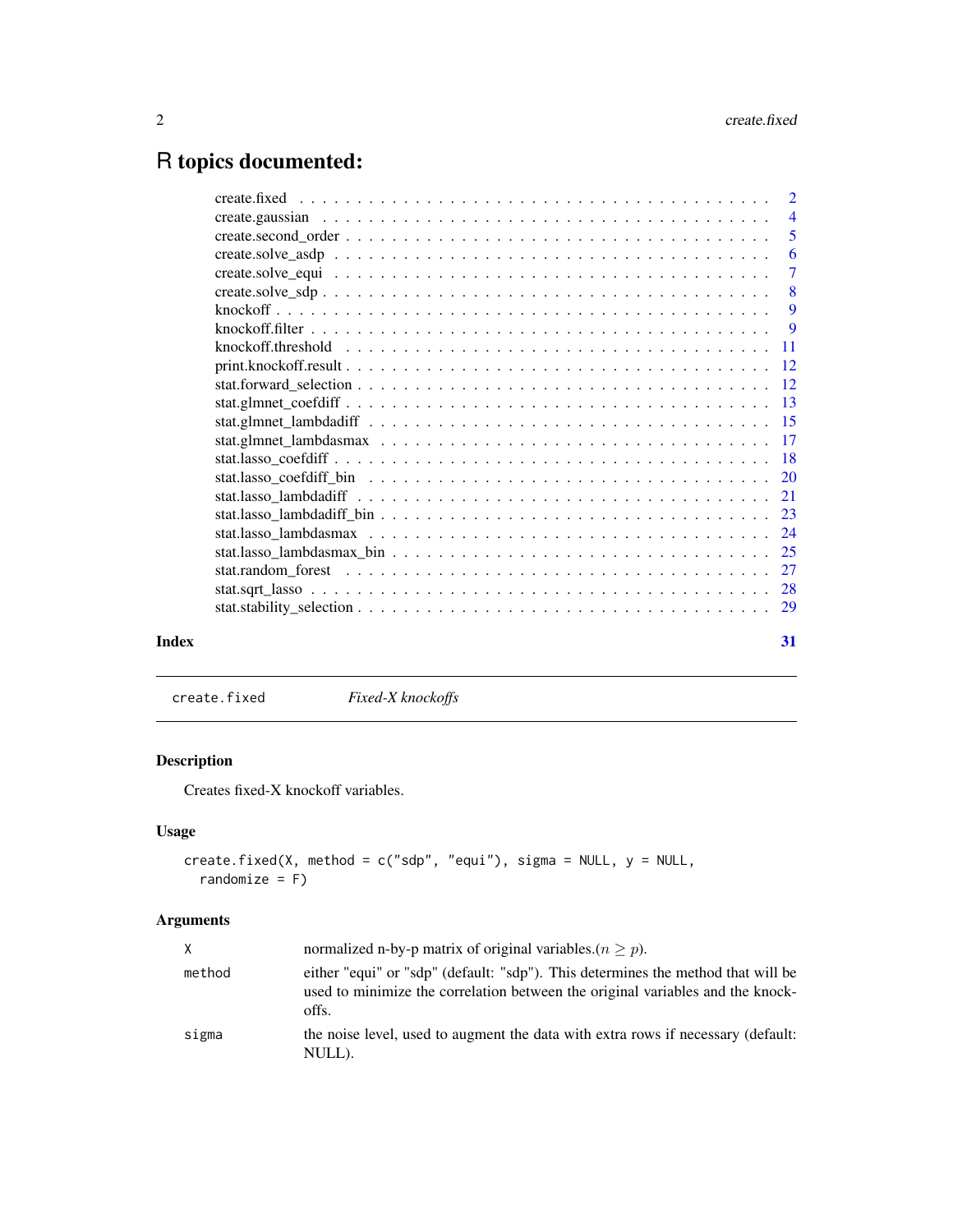# <span id="page-1-0"></span>R topics documented:

|       | knockoff.threshold $\ldots \ldots \ldots \ldots \ldots \ldots \ldots \ldots \ldots \ldots \ldots \ldots \ldots$ |    |
|-------|-----------------------------------------------------------------------------------------------------------------|----|
|       |                                                                                                                 |    |
|       |                                                                                                                 |    |
|       |                                                                                                                 |    |
|       |                                                                                                                 |    |
|       |                                                                                                                 |    |
|       |                                                                                                                 |    |
|       |                                                                                                                 |    |
|       |                                                                                                                 |    |
|       |                                                                                                                 |    |
|       |                                                                                                                 |    |
|       |                                                                                                                 |    |
|       |                                                                                                                 |    |
|       |                                                                                                                 |    |
|       |                                                                                                                 |    |
|       |                                                                                                                 |    |
| Index |                                                                                                                 | 31 |

<span id="page-1-1"></span>create.fixed *Fixed-X knockoffs*

# Description

Creates fixed-X knockoff variables.

# Usage

```
create.fixed(X, method = c("sdp", "equi"), sigma = NULL, y = NULL,randomize = F)
```
# Arguments

| X.     | normalized n-by-p matrix of original variables. $(n > p)$ .                                                                                                                 |
|--------|-----------------------------------------------------------------------------------------------------------------------------------------------------------------------------|
| method | either "equi" or "sdp" (default: "sdp"). This determines the method that will be<br>used to minimize the correlation between the original variables and the knock-<br>offs. |
| sigma  | the noise level, used to augment the data with extra rows if necessary (default:<br>NULL).                                                                                  |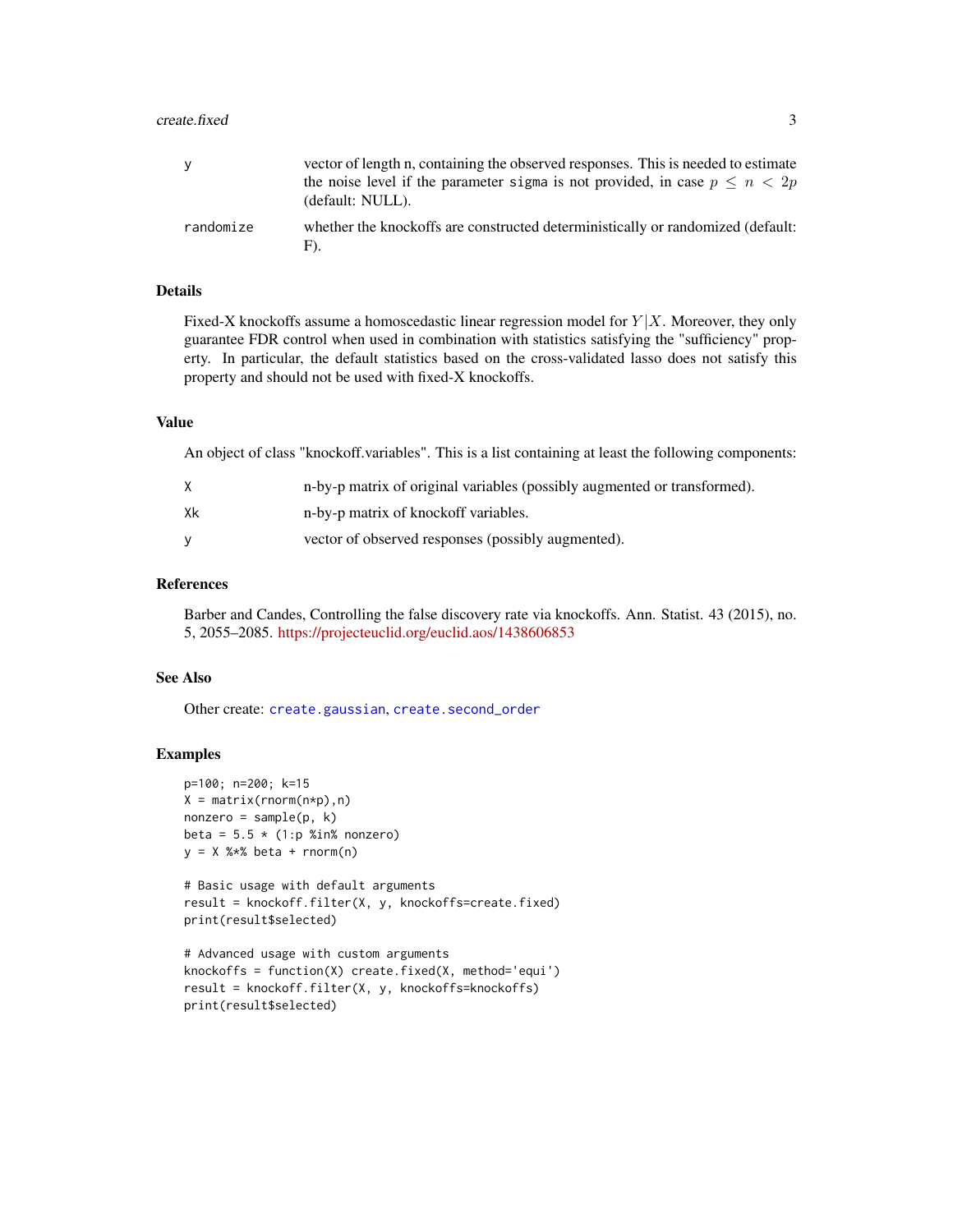#### <span id="page-2-0"></span> $\alpha$ create.fixed  $\beta$

| y         | vector of length n, containing the observed responses. This is needed to estimate                   |
|-----------|-----------------------------------------------------------------------------------------------------|
|           | the noise level if the parameter sigma is not provided, in case $p \leq n < 2p$<br>(default: NULL). |
| randomize | whether the knockoffs are constructed deterministically or randomized (default:<br>F).              |

# Details

Fixed-X knockoffs assume a homoscedastic linear regression model for  $Y|X$ . Moreover, they only guarantee FDR control when used in combination with statistics satisfying the "sufficiency" property. In particular, the default statistics based on the cross-validated lasso does not satisfy this property and should not be used with fixed-X knockoffs.

#### Value

An object of class "knockoff.variables". This is a list containing at least the following components:

|    | n-by-p matrix of original variables (possibly augmented or transformed). |
|----|--------------------------------------------------------------------------|
| Xk | n-by-p matrix of knockoff variables.                                     |
|    | vector of observed responses (possibly augmented).                       |

# References

Barber and Candes, Controlling the false discovery rate via knockoffs. Ann. Statist. 43 (2015), no. 5, 2055–2085. <https://projecteuclid.org/euclid.aos/1438606853>

# See Also

Other create: [create.gaussian](#page-3-1), [create.second\\_order](#page-4-1)

# Examples

```
p=100; n=200; k=15
X = matrix(rnorm(n*p), n)nonzero = sample(p, k)beta = 5.5 \times (1:p %in% = 0.00000)y = X %*% beta + rnorm(n)
```

```
# Basic usage with default arguments
result = knockoff.filter(X, y, knockoffs=create.fixed)
print(result$selected)
```

```
# Advanced usage with custom arguments
knockoffs = function(X) create.fixed(X, method='equi')
result = knockoff.filter(X, y, knockoffs=knockoffs)
print(result$selected)
```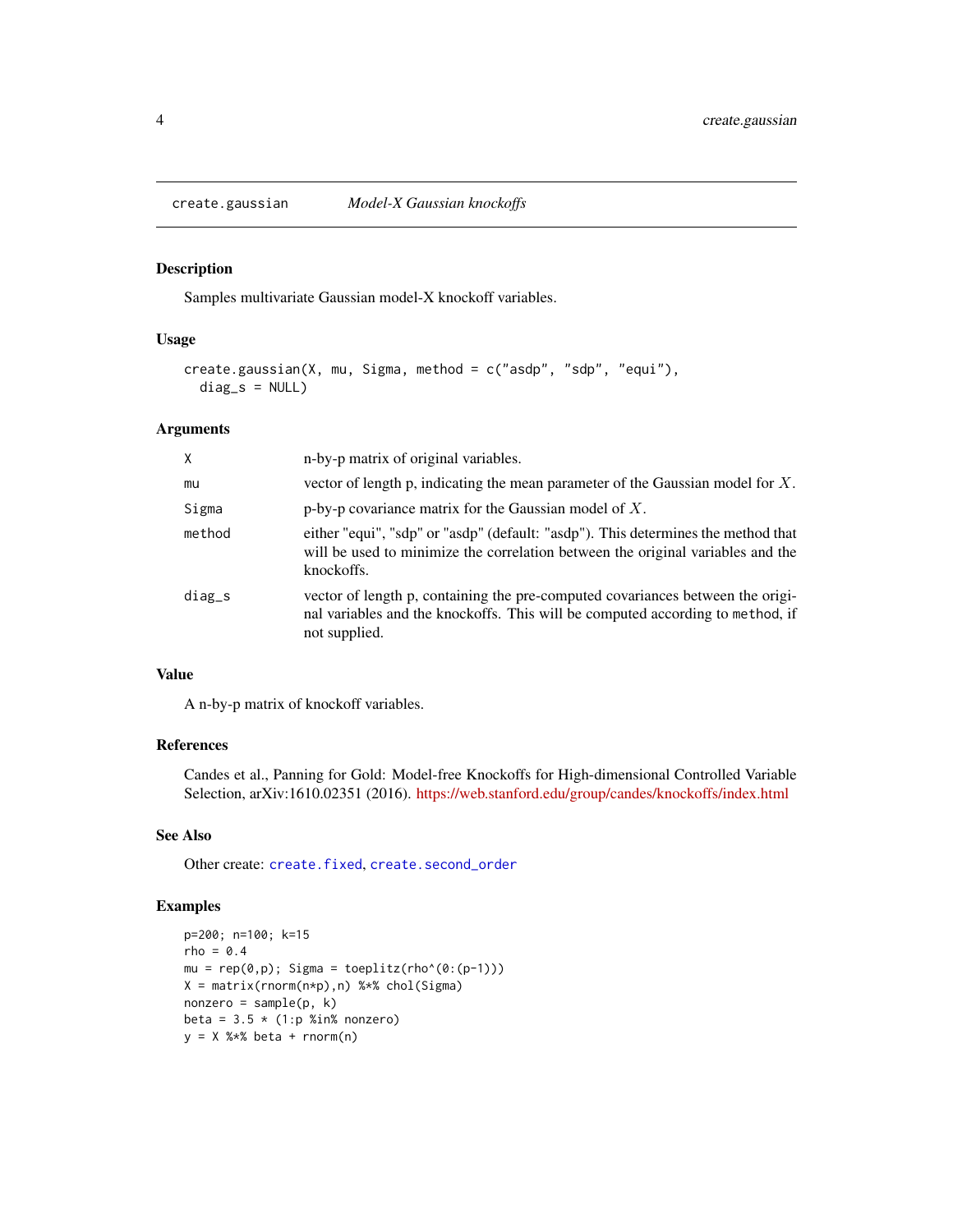<span id="page-3-1"></span><span id="page-3-0"></span>

#### Description

Samples multivariate Gaussian model-X knockoff variables.

# Usage

```
create.gaussian(X, mu, Sigma, method = c("asdp", "sdp", "equi"),
  diag_s = NULL
```
# Arguments

| X        | n-by-p matrix of original variables.                                                                                                                                               |
|----------|------------------------------------------------------------------------------------------------------------------------------------------------------------------------------------|
| mu       | vector of length p, indicating the mean parameter of the Gaussian model for $X$ .                                                                                                  |
| Sigma    | p-by-p covariance matrix for the Gaussian model of $X$ .                                                                                                                           |
| method   | either "equi", "sdp" or "asdp" (default: "asdp"). This determines the method that<br>will be used to minimize the correlation between the original variables and the<br>knockoffs. |
| $diag_s$ | vector of length p, containing the pre-computed covariances between the origi-<br>nal variables and the knockoffs. This will be computed according to method, if<br>not supplied.  |

# Value

A n-by-p matrix of knockoff variables.

# References

Candes et al., Panning for Gold: Model-free Knockoffs for High-dimensional Controlled Variable Selection, arXiv:1610.02351 (2016). <https://web.stanford.edu/group/candes/knockoffs/index.html>

# See Also

Other create: [create.fixed](#page-1-1), [create.second\\_order](#page-4-1)

# Examples

```
p=200; n=100; k=15
rho = 0.4mu = rep(0,p); Sigma = toeplitz(rho^(0:(p-1)))
X = matrix(rnorm(n*p),n) %*% chol(Sigma)
nonzero = sample(p, k)beta = 3.5 \times (1:p %in% = 0.02e)y = X %*% beta + rnorm(n)
```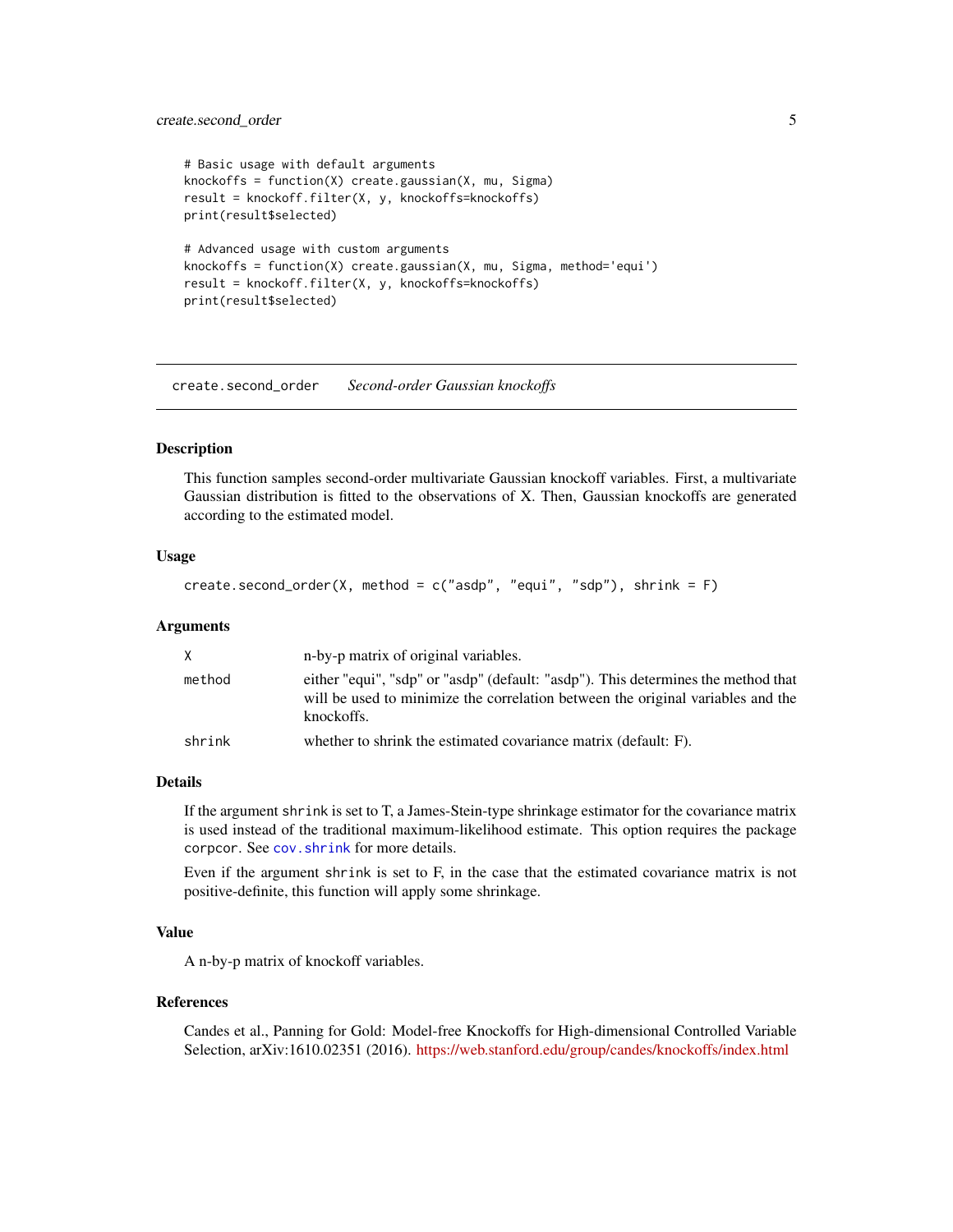# <span id="page-4-0"></span>create.second\_order 5

```
# Basic usage with default arguments
knockoffs = function(X) create.gaussian(X, mu, Sigma)
result = knockoff.filter(X, y, knockoffs=knockoffs)
print(result$selected)
# Advanced usage with custom arguments
knockoffs = function(X) create.gaussian(X, mu, Sigma, method='equi')
result = knockoff.filter(X, y, knockoffs=knockoffs)
print(result$selected)
```
<span id="page-4-1"></span>create.second\_order *Second-order Gaussian knockoffs*

# Description

This function samples second-order multivariate Gaussian knockoff variables. First, a multivariate Gaussian distribution is fitted to the observations of X. Then, Gaussian knockoffs are generated according to the estimated model.

# Usage

```
create.second_order(X, method = c("asdp", "equi", "sdp"), shrink = F)
```
# Arguments

|        | n-by-p matrix of original variables.                                                                                                                                               |
|--------|------------------------------------------------------------------------------------------------------------------------------------------------------------------------------------|
| method | either "equi", "sdp" or "asdp" (default: "asdp"). This determines the method that<br>will be used to minimize the correlation between the original variables and the<br>knockoffs. |
| shrink | whether to shrink the estimated covariance matrix (default: F).                                                                                                                    |

### Details

If the argument shrink is set to T, a James-Stein-type shrinkage estimator for the covariance matrix is used instead of the traditional maximum-likelihood estimate. This option requires the package corpcor. See [cov.shrink](#page-0-0) for more details.

Even if the argument shrink is set to F, in the case that the estimated covariance matrix is not positive-definite, this function will apply some shrinkage.

# Value

A n-by-p matrix of knockoff variables.

# References

Candes et al., Panning for Gold: Model-free Knockoffs for High-dimensional Controlled Variable Selection, arXiv:1610.02351 (2016). <https://web.stanford.edu/group/candes/knockoffs/index.html>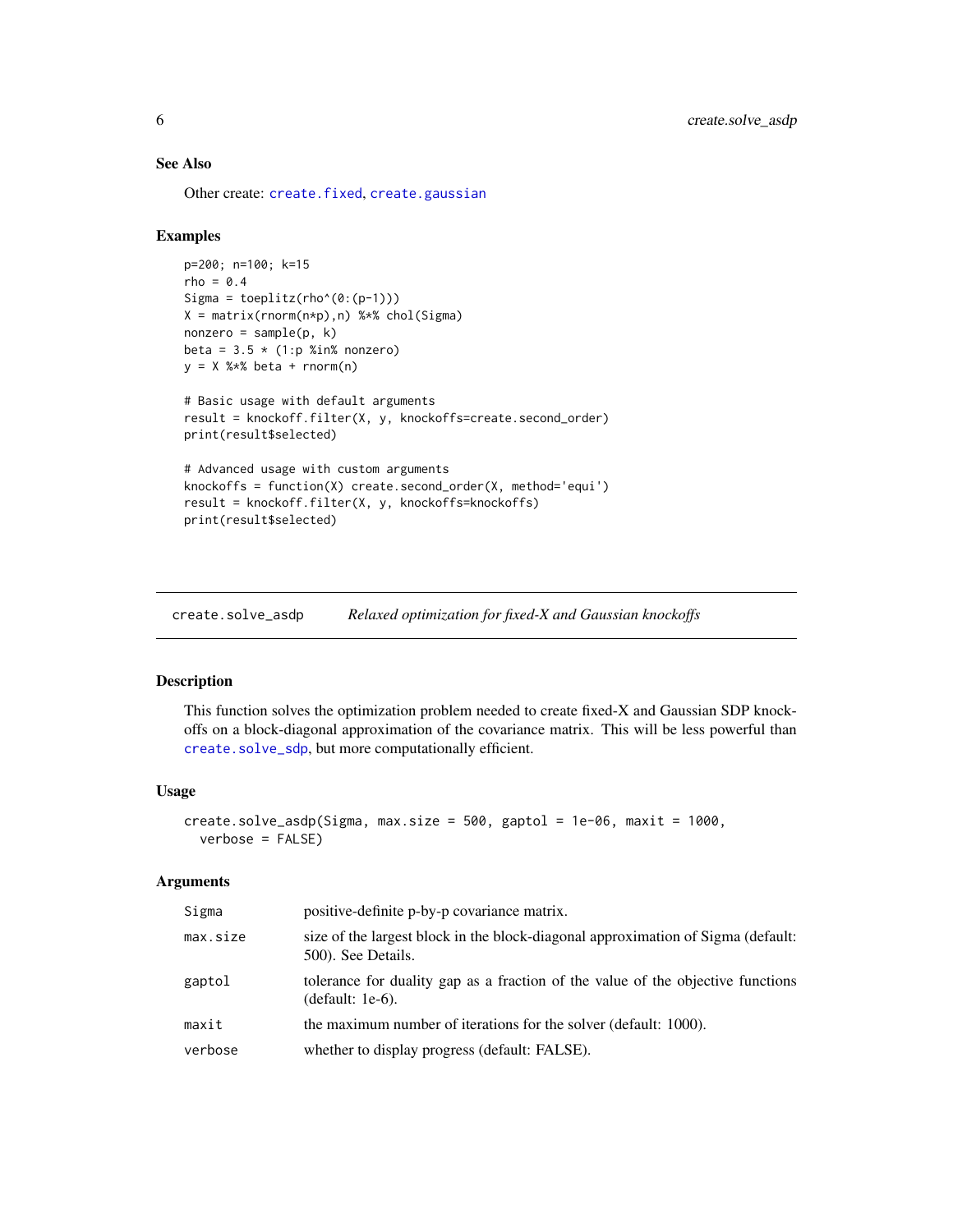# <span id="page-5-0"></span>See Also

Other create: [create.fixed](#page-1-1), [create.gaussian](#page-3-1)

# Examples

```
p=200; n=100; k=15
rho = 0.4Sigma = toeplitz(rho^(0:(p-1)))
X = matrix(rnorm(n*p),n) %*% chol(Sigma)
nonzero = sample(p, k)beta = 3.5 \times (1:p %in% = 0.02e)y = X %*% beta + rnorm(n)
# Basic usage with default arguments
result = knockoff.filter(X, y, knockoffs=create.second_order)
print(result$selected)
# Advanced usage with custom arguments
knockoffs = function(X) create.second_order(X, method='equi')
result = knockoff.filter(X, y, knockoffs=knockoffs)
print(result$selected)
```
<span id="page-5-1"></span>create.solve\_asdp *Relaxed optimization for fixed-X and Gaussian knockoffs*

# Description

This function solves the optimization problem needed to create fixed-X and Gaussian SDP knockoffs on a block-diagonal approximation of the covariance matrix. This will be less powerful than [create.solve\\_sdp](#page-7-1), but more computationally efficient.

#### Usage

```
create.solve_asdp(Sigma, max.size = 500, gaptol = 1e-06, maxit = 1000,
  verbose = FALSE)
```
# Arguments

| Sigma    | positive-definite p-by-p covariance matrix.                                                            |
|----------|--------------------------------------------------------------------------------------------------------|
| max.size | size of the largest block in the block-diagonal approximation of Sigma (default:<br>500). See Details. |
| gaptol   | tolerance for duality gap as a fraction of the value of the objective functions<br>$(default: 1e-6).$  |
| maxit    | the maximum number of iterations for the solver (default: 1000).                                       |
| verbose  | whether to display progress (default: FALSE).                                                          |
|          |                                                                                                        |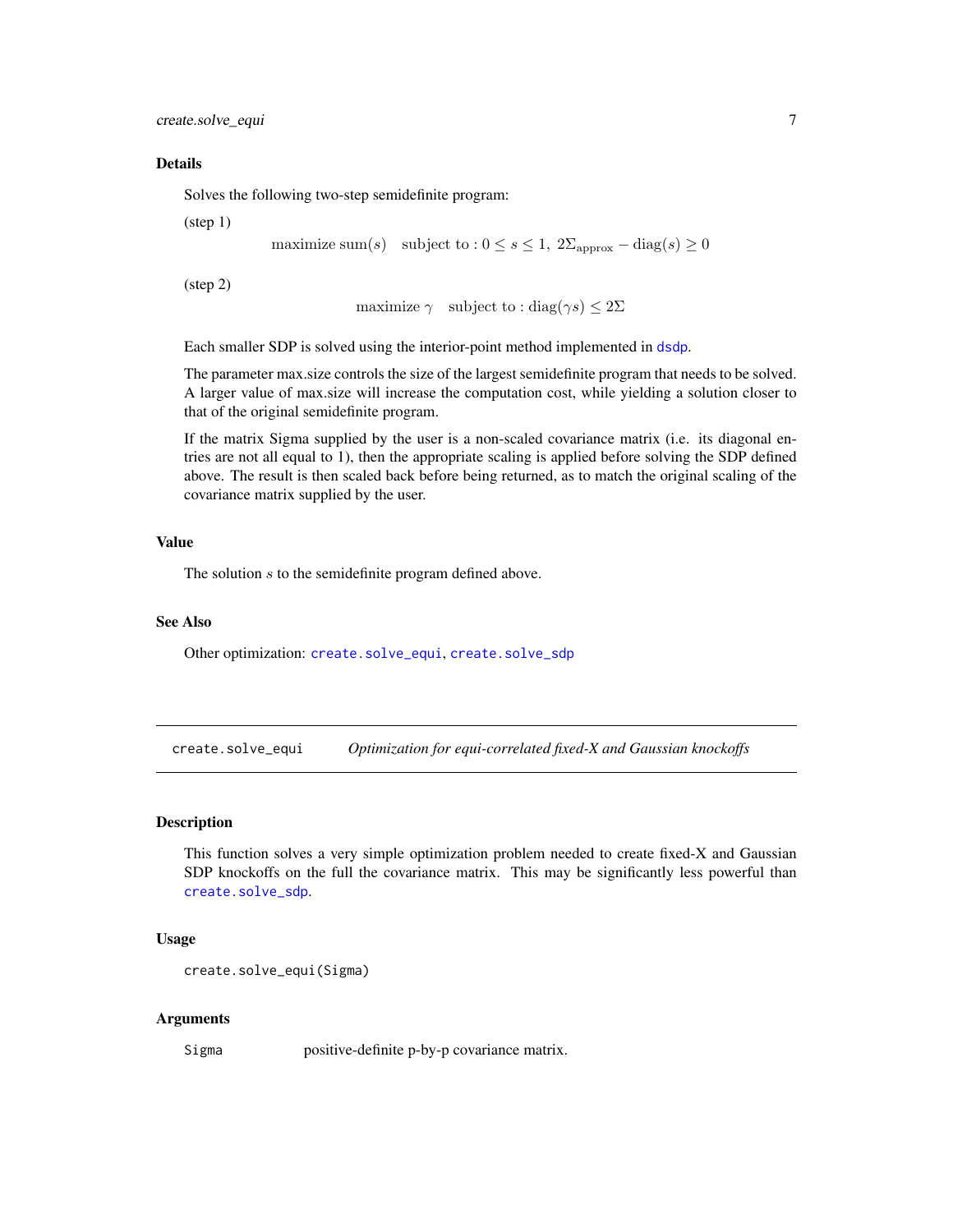<span id="page-6-0"></span>create.solve\_equi 7

#### Details

Solves the following two-step semidefinite program:

(step 1)

maximize sum(s) subject to :  $0 \le s \le 1$ ,  $2\Sigma_{\text{approx}} - \text{diag}(s) \ge 0$ 

(step 2)

```
maximize \gamma subject to : diag(\gamma s) \leq 2\Sigma
```
Each smaller SDP is solved using the interior-point method implemented in [dsdp](#page-0-0).

The parameter max.size controls the size of the largest semidefinite program that needs to be solved. A larger value of max.size will increase the computation cost, while yielding a solution closer to that of the original semidefinite program.

If the matrix Sigma supplied by the user is a non-scaled covariance matrix (i.e. its diagonal entries are not all equal to 1), then the appropriate scaling is applied before solving the SDP defined above. The result is then scaled back before being returned, as to match the original scaling of the covariance matrix supplied by the user.

# Value

The solution s to the semidefinite program defined above.

# See Also

Other optimization: [create.solve\\_equi](#page-6-1), [create.solve\\_sdp](#page-7-1)

<span id="page-6-1"></span>create.solve\_equi *Optimization for equi-correlated fixed-X and Gaussian knockoffs*

# **Description**

This function solves a very simple optimization problem needed to create fixed-X and Gaussian SDP knockoffs on the full the covariance matrix. This may be significantly less powerful than [create.solve\\_sdp](#page-7-1).

# Usage

```
create.solve_equi(Sigma)
```
# Arguments

Sigma positive-definite p-by-p covariance matrix.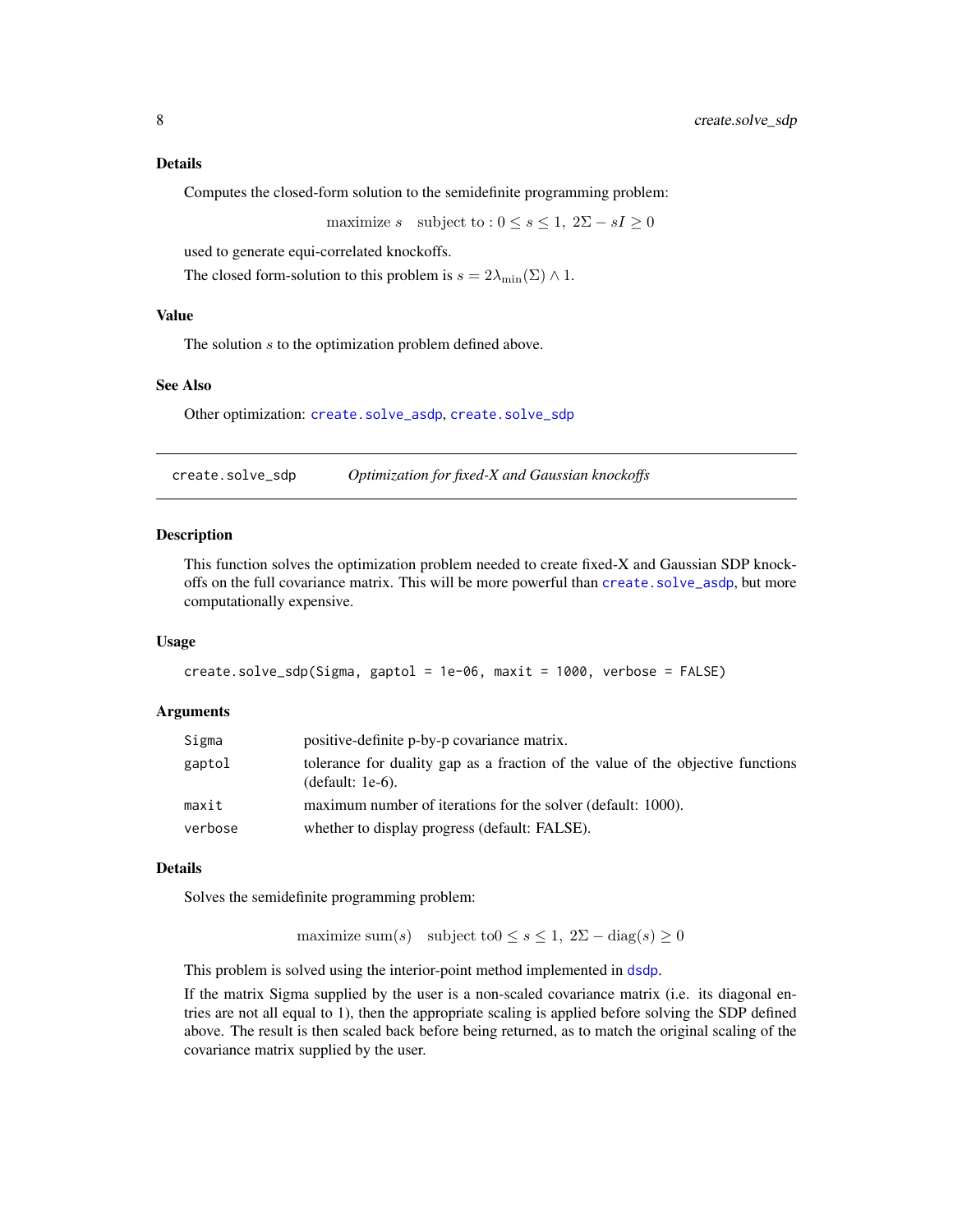<span id="page-7-0"></span>Computes the closed-form solution to the semidefinite programming problem:

maximize s subject to :  $0 \leq s \leq 1$ ,  $2\Sigma - sI \geq 0$ 

used to generate equi-correlated knockoffs.

The closed form-solution to this problem is  $s = 2\lambda_{\min}(\Sigma) \wedge 1$ .

# Value

The solution s to the optimization problem defined above.

#### See Also

Other optimization: [create.solve\\_asdp](#page-5-1), [create.solve\\_sdp](#page-7-1)

<span id="page-7-1"></span>create.solve\_sdp *Optimization for fixed-X and Gaussian knockoffs*

# Description

This function solves the optimization problem needed to create fixed-X and Gaussian SDP knockoffs on the full covariance matrix. This will be more powerful than create. solve\_asdp, but more computationally expensive.

# Usage

```
create.solve_sdp(Sigma, gaptol = 1e-06, maxit = 1000, verbose = FALSE)
```
# Arguments

| Sigma   | positive-definite p-by-p covariance matrix.                                                         |  |
|---------|-----------------------------------------------------------------------------------------------------|--|
| gaptol  | tolerance for duality gap as a fraction of the value of the objective functions<br>(default: 1e-6). |  |
| maxit   | maximum number of iterations for the solver (default: 1000).                                        |  |
| verbose | whether to display progress (default: FALSE).                                                       |  |

# Details

Solves the semidefinite programming problem:

maximize sum(s) subject to $0 \leq s \leq 1$ ,  $2\Sigma - \text{diag}(s) \geq 0$ 

This problem is solved using the interior-point method implemented in [dsdp](#page-0-0).

If the matrix Sigma supplied by the user is a non-scaled covariance matrix (i.e. its diagonal entries are not all equal to 1), then the appropriate scaling is applied before solving the SDP defined above. The result is then scaled back before being returned, as to match the original scaling of the covariance matrix supplied by the user.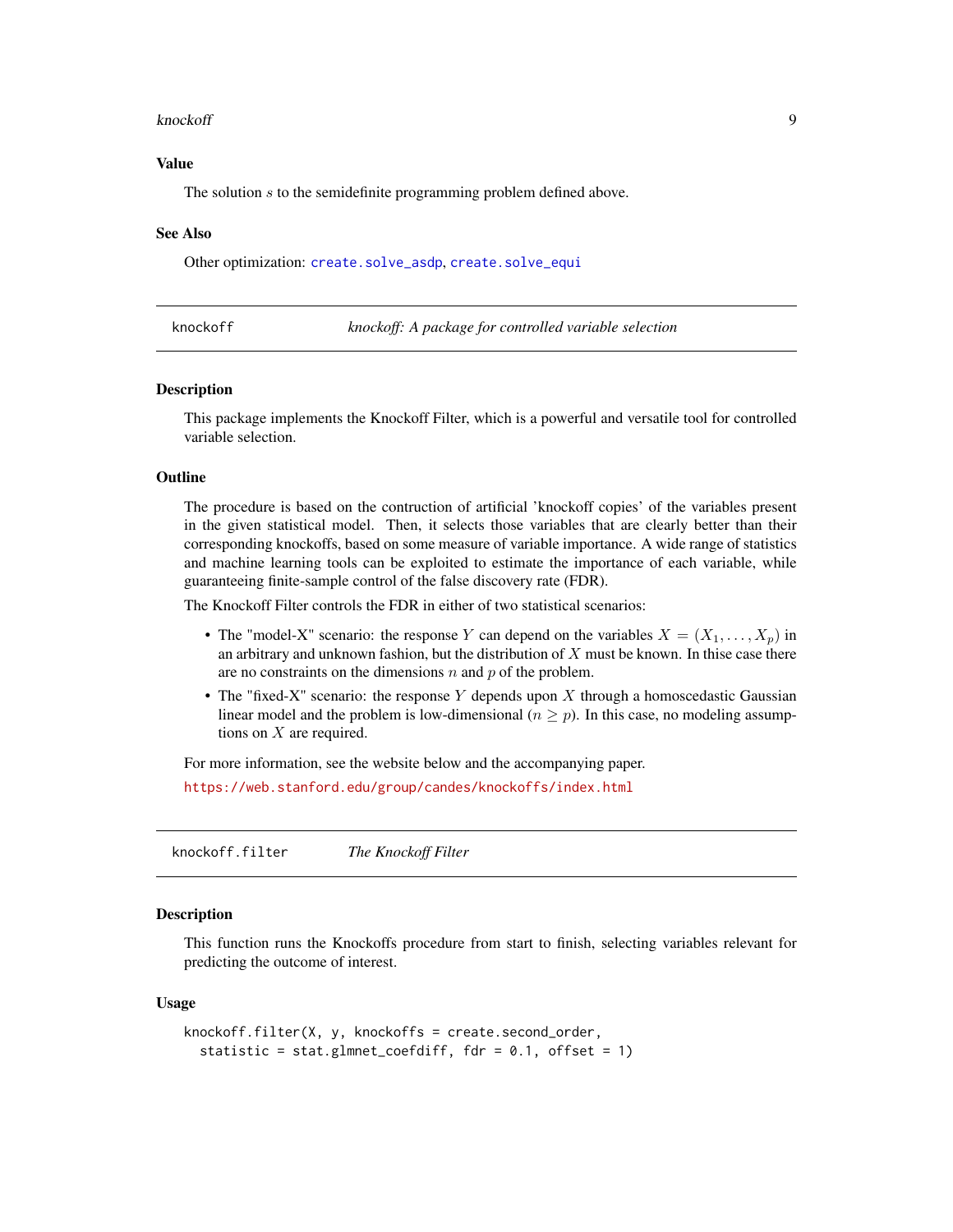#### <span id="page-8-0"></span>knockoff 9

# Value

The solution s to the semidefinite programming problem defined above.

#### See Also

Other optimization: [create.solve\\_asdp](#page-5-1), [create.solve\\_equi](#page-6-1)

knockoff *knockoff: A package for controlled variable selection*

#### **Description**

This package implements the Knockoff Filter, which is a powerful and versatile tool for controlled variable selection.

# **Outline**

The procedure is based on the contruction of artificial 'knockoff copies' of the variables present in the given statistical model. Then, it selects those variables that are clearly better than their corresponding knockoffs, based on some measure of variable importance. A wide range of statistics and machine learning tools can be exploited to estimate the importance of each variable, while guaranteeing finite-sample control of the false discovery rate (FDR).

The Knockoff Filter controls the FDR in either of two statistical scenarios:

- The "model-X" scenario: the response Y can depend on the variables  $X = (X_1, \ldots, X_p)$  in an arbitrary and unknown fashion, but the distribution of  $X$  must be known. In thise case there are no constraints on the dimensions  $n$  and  $p$  of the problem.
- The "fixed-X" scenario: the response Y depends upon X through a homoscedastic Gaussian linear model and the problem is low-dimensional ( $n \ge p$ ). In this case, no modeling assumptions on  $X$  are required.

For more information, see the website below and the accompanying paper.

<https://web.stanford.edu/group/candes/knockoffs/index.html>

knockoff.filter *The Knockoff Filter*

#### Description

This function runs the Knockoffs procedure from start to finish, selecting variables relevant for predicting the outcome of interest.

#### Usage

```
knockoff.filter(X, y, knockoffs = create.second_order,
  statistic = stat.glmnet_coefdiff, fdr = 0.1, offset = 1)
```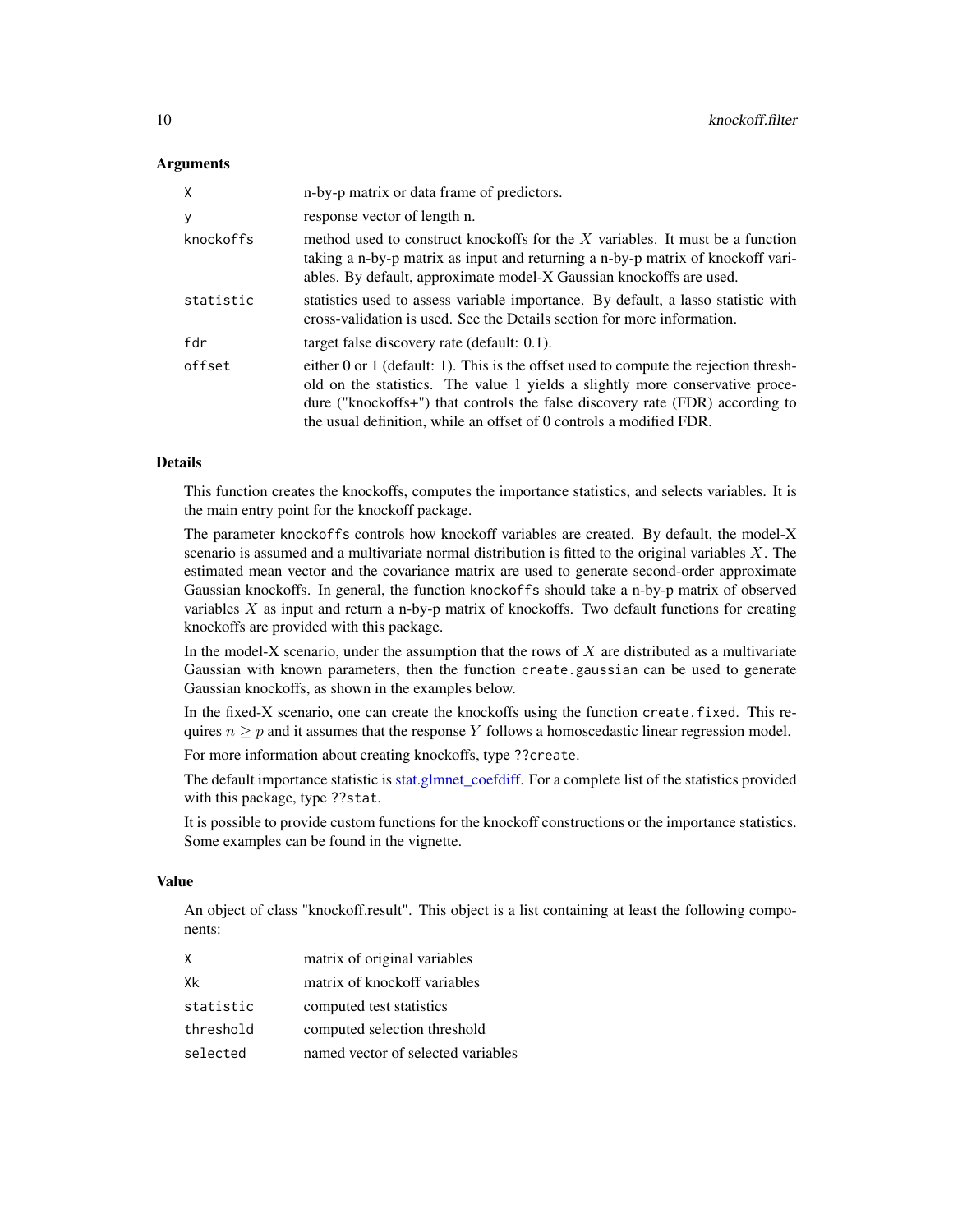# <span id="page-9-0"></span>**Arguments**

| X         | n-by-p matrix or data frame of predictors.                                                                                                                                                                                                                                                                                    |
|-----------|-------------------------------------------------------------------------------------------------------------------------------------------------------------------------------------------------------------------------------------------------------------------------------------------------------------------------------|
| y         | response vector of length n.                                                                                                                                                                                                                                                                                                  |
| knockoffs | method used to construct knockoffs for the $X$ variables. It must be a function<br>taking a n-by-p matrix as input and returning a n-by-p matrix of knockoff vari-<br>ables. By default, approximate model-X Gaussian knockoffs are used.                                                                                     |
| statistic | statistics used to assess variable importance. By default, a lasso statistic with<br>cross-validation is used. See the Details section for more information.                                                                                                                                                                  |
| fdr       | target false discovery rate (default: 0.1).                                                                                                                                                                                                                                                                                   |
| offset    | either 0 or 1 (default: 1). This is the offset used to compute the rejection thresh-<br>old on the statistics. The value 1 yields a slightly more conservative proce-<br>dure ("knockoffs+") that controls the false discovery rate (FDR) according to<br>the usual definition, while an offset of 0 controls a modified FDR. |

# Details

This function creates the knockoffs, computes the importance statistics, and selects variables. It is the main entry point for the knockoff package.

The parameter knockoffs controls how knockoff variables are created. By default, the model-X scenario is assumed and a multivariate normal distribution is fitted to the original variables  $X$ . The estimated mean vector and the covariance matrix are used to generate second-order approximate Gaussian knockoffs. In general, the function knockoffs should take a n-by-p matrix of observed variables  $X$  as input and return a n-by-p matrix of knockoffs. Two default functions for creating knockoffs are provided with this package.

In the model-X scenario, under the assumption that the rows of  $X$  are distributed as a multivariate Gaussian with known parameters, then the function create.gaussian can be used to generate Gaussian knockoffs, as shown in the examples below.

In the fixed-X scenario, one can create the knockoffs using the function create.fixed. This requires  $n \geq p$  and it assumes that the response Y follows a homoscedastic linear regression model.

For more information about creating knockoffs, type ??create.

The default importance statistic is [stat.glmnet\\_coefdiff.](#page-12-1) For a complete list of the statistics provided with this package, type ??stat.

It is possible to provide custom functions for the knockoff constructions or the importance statistics. Some examples can be found in the vignette.

# Value

An object of class "knockoff.result". This object is a list containing at least the following components:

| X         | matrix of original variables       |
|-----------|------------------------------------|
| Xk        | matrix of knockoff variables       |
| statistic | computed test statistics           |
| threshold | computed selection threshold       |
| selected  | named vector of selected variables |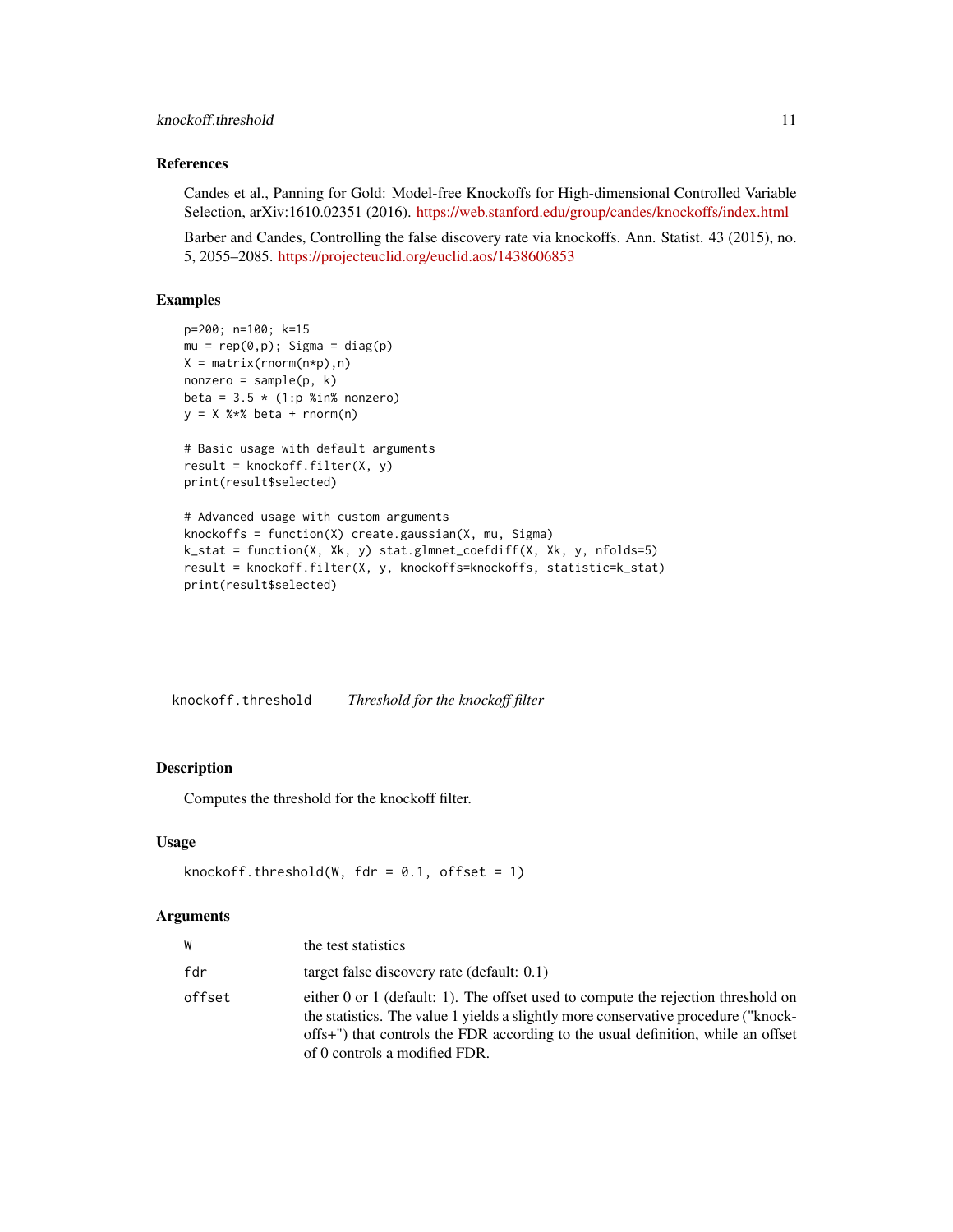# <span id="page-10-0"></span>knockoff.threshold 11

# References

Candes et al., Panning for Gold: Model-free Knockoffs for High-dimensional Controlled Variable Selection, arXiv:1610.02351 (2016). <https://web.stanford.edu/group/candes/knockoffs/index.html>

Barber and Candes, Controlling the false discovery rate via knockoffs. Ann. Statist. 43 (2015), no. 5, 2055–2085. <https://projecteuclid.org/euclid.aos/1438606853>

# Examples

```
p=200; n=100; k=15
mu = rep(0,p); Sigma = diag(p)
X = matrix(rnorm(n*p), n)nonzero = sample(p, k)beta = 3.5 \times (1:p %in% = 0.00000)y = X %*% beta + rnorm(n)
# Basic usage with default arguments
result = knockoff.fiter(X, y)print(result$selected)
# Advanced usage with custom arguments
knockoffs = function(X) create.gaussian(X, mu, Sigma)
k_stat = function(X, Xk, y) stat.glmnet_coefdiff(X, Xk, y, nfolds=5)
result = knockoff.filter(X, y, knockoffs=knockoffs, statistic=k_stat)
print(result$selected)
```
knockoff.threshold *Threshold for the knockoff filter*

# Description

Computes the threshold for the knockoff filter.

# Usage

```
knockoff.threshold(W, fdr = 0.1, offset = 1)
```
# Arguments

| W      | the test statistics                                                                                                                                                                                                                                                                          |
|--------|----------------------------------------------------------------------------------------------------------------------------------------------------------------------------------------------------------------------------------------------------------------------------------------------|
| fdr    | target false discovery rate (default: $0.1$ )                                                                                                                                                                                                                                                |
| offset | either 0 or 1 (default: 1). The offset used to compute the rejection threshold on<br>the statistics. The value 1 yields a slightly more conservative procedure ("knock-<br>offs+") that controls the FDR according to the usual definition, while an offset<br>of 0 controls a modified FDR. |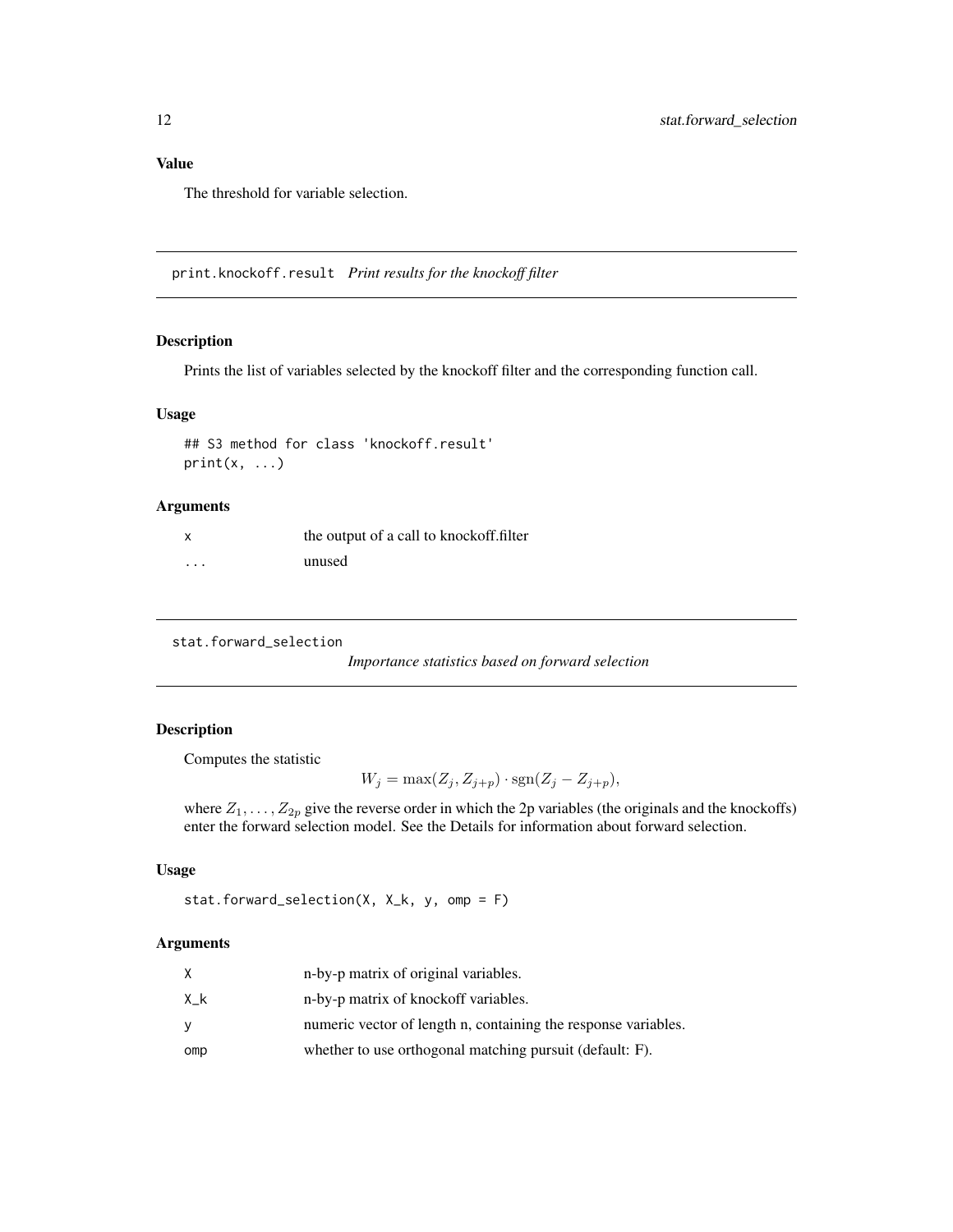# <span id="page-11-0"></span>Value

The threshold for variable selection.

print.knockoff.result *Print results for the knockoff filter*

# Description

Prints the list of variables selected by the knockoff filter and the corresponding function call.

#### Usage

```
## S3 method for class 'knockoff.result'
print(x, \ldots)
```
# Arguments

| X        | the output of a call to knockoff.filter |
|----------|-----------------------------------------|
| $\cdots$ | unused                                  |

<span id="page-11-1"></span>stat.forward\_selection

*Importance statistics based on forward selection*

# Description

Computes the statistic

 $W_j = \max(Z_j, Z_{j+p}) \cdot \text{sgn}(Z_j - Z_{j+p}),$ 

where  $Z_1, \ldots, Z_{2p}$  give the reverse order in which the 2p variables (the originals and the knockoffs) enter the forward selection model. See the Details for information about forward selection.

# Usage

```
stat.forward_selection(X, X_k, y, omp = F)
```
#### Arguments

|     | n-by-p matrix of original variables.                           |
|-----|----------------------------------------------------------------|
| Хk  | n-by-p matrix of knockoff variables.                           |
| v   | numeric vector of length n, containing the response variables. |
| omp | whether to use orthogonal matching pursuit (default: F).       |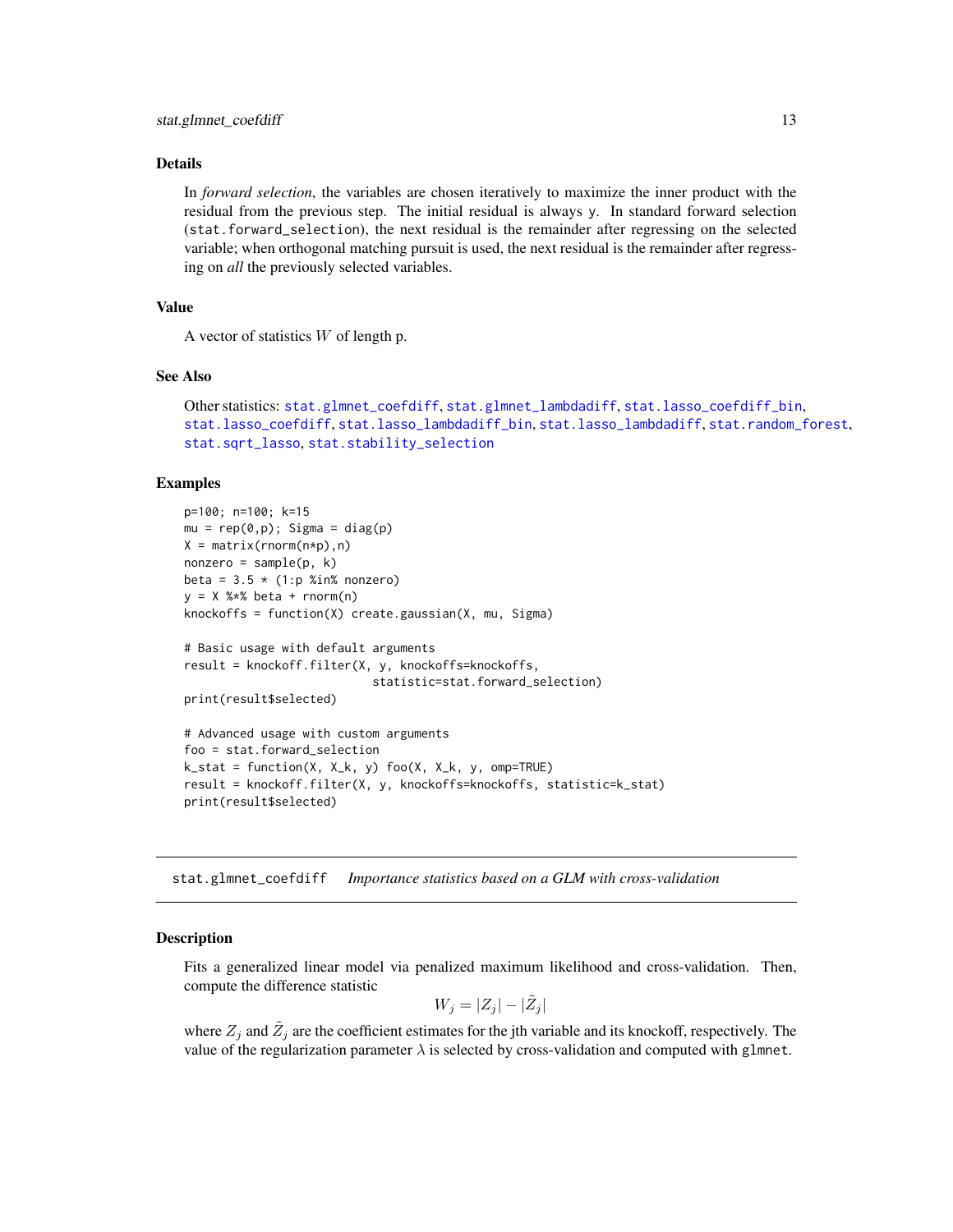# <span id="page-12-0"></span>Details

In *forward selection*, the variables are chosen iteratively to maximize the inner product with the residual from the previous step. The initial residual is always y. In standard forward selection (stat.forward\_selection), the next residual is the remainder after regressing on the selected variable; when orthogonal matching pursuit is used, the next residual is the remainder after regressing on *all* the previously selected variables.

# Value

A vector of statistics  $W$  of length p.

#### See Also

```
Other statistics: stat.glmnet_coefdiff, stat.glmnet_lambdadiff, stat.lasso_coefdiff_bin,
stat.lasso_coefdiff, stat.lasso_lambdadiff_bin, stat.lasso_lambdadiff, stat.random_forest,
stat.sqrt_lasso, stat.stability_selection
```
#### Examples

```
p=100; n=100; k=15
mu = rep(0,p); Sigma = diag(p)
X = matrix(rnorm(n*p), n)nonzero = sample(p, k)beta = 3.5 \times (1:p %in% = 0.00000)y = X %*% beta + rnorm(n)
knockoffs = function(X) create.gaussian(X, mu, Sigma)
# Basic usage with default arguments
result = knockoff.filter(X, y, knockoffs=knockoffs,
                            statistic=stat.forward_selection)
print(result$selected)
# Advanced usage with custom arguments
foo = stat.forward_selection
k_{\text{1}} = function(X, X_k, y) foo(X, X_k, y, omp=TRUE)
result = knockoff.filter(X, y, knockoffs=knockoffs, statistic=k_stat)
print(result$selected)
```
<span id="page-12-1"></span>stat.glmnet\_coefdiff *Importance statistics based on a GLM with cross-validation*

#### Description

Fits a generalized linear model via penalized maximum likelihood and cross-validation. Then, compute the difference statistic

$$
W_j = |Z_j| - |\tilde{Z}_j|
$$

where  $Z_j$  and  $\tilde{Z}_j$  are the coefficient estimates for the jth variable and its knockoff, respectively. The value of the regularization parameter  $\lambda$  is selected by cross-validation and computed with glmnet.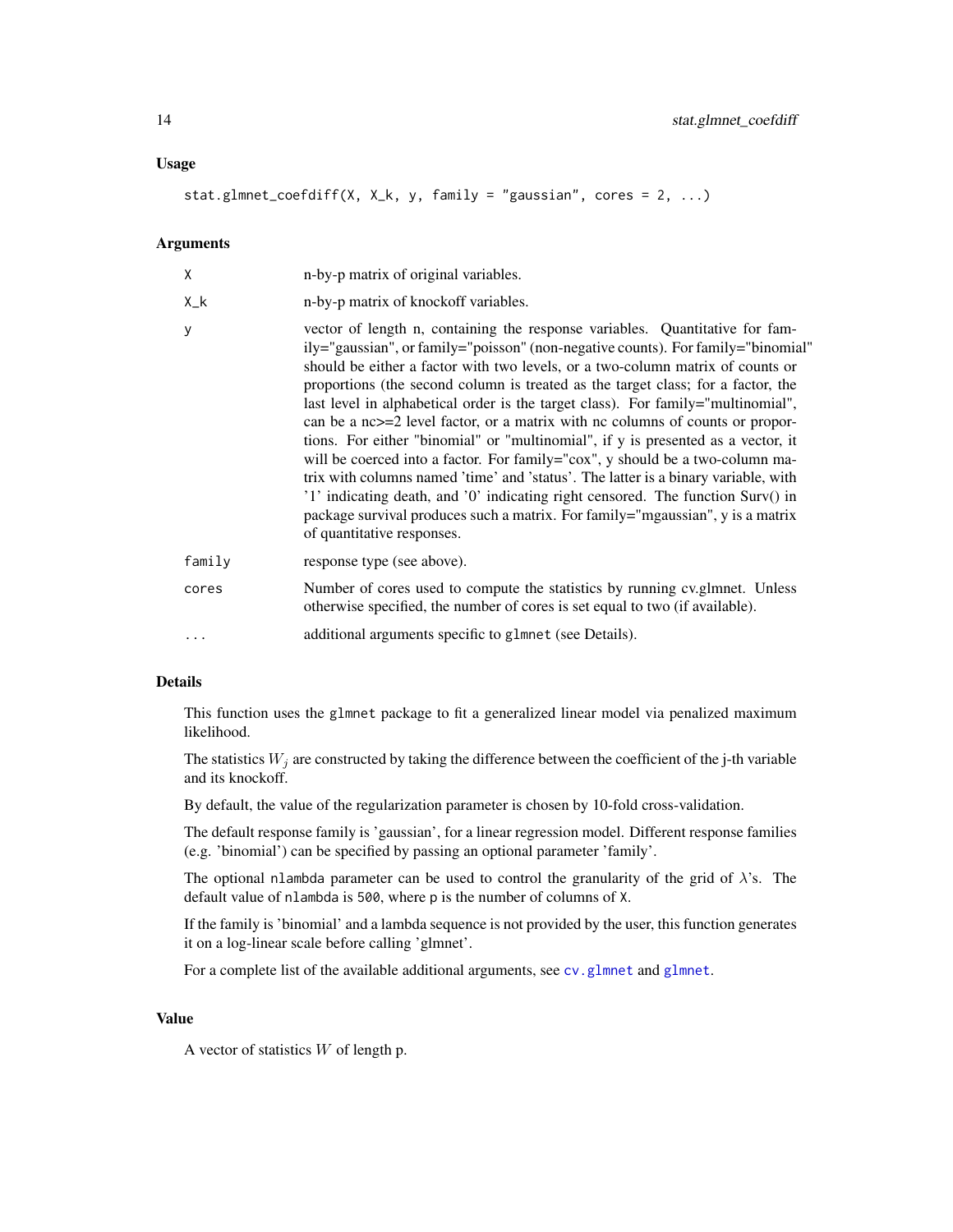# <span id="page-13-0"></span>Usage

stat.glmnet\_coefdiff(X, X\_k, y, family = "gaussian", cores = 2, ...)

# Arguments

| X      | n-by-p matrix of original variables.                                                                                                                                                                                                                                                                                                                                                                                                                                                                                                                                                                                                                                                                                                                                                                                                                                                                                                                                      |
|--------|---------------------------------------------------------------------------------------------------------------------------------------------------------------------------------------------------------------------------------------------------------------------------------------------------------------------------------------------------------------------------------------------------------------------------------------------------------------------------------------------------------------------------------------------------------------------------------------------------------------------------------------------------------------------------------------------------------------------------------------------------------------------------------------------------------------------------------------------------------------------------------------------------------------------------------------------------------------------------|
| $X_k$  | n-by-p matrix of knockoff variables.                                                                                                                                                                                                                                                                                                                                                                                                                                                                                                                                                                                                                                                                                                                                                                                                                                                                                                                                      |
| y      | vector of length n, containing the response variables. Quantitative for fam-<br>ily="gaussian", or family="poisson" (non-negative counts). For family="binomial"<br>should be either a factor with two levels, or a two-column matrix of counts or<br>proportions (the second column is treated as the target class; for a factor, the<br>last level in alphabetical order is the target class). For family="multinomial",<br>can be a nc>=2 level factor, or a matrix with nc columns of counts or propor-<br>tions. For either "binomial" or "multinomial", if y is presented as a vector, it<br>will be coerced into a factor. For family="cox", y should be a two-column ma-<br>trix with columns named 'time' and 'status'. The latter is a binary variable, with<br>'1' indicating death, and '0' indicating right censored. The function Surv() in<br>package survival produces such a matrix. For family="mgaussian", y is a matrix<br>of quantitative responses. |
| family | response type (see above).                                                                                                                                                                                                                                                                                                                                                                                                                                                                                                                                                                                                                                                                                                                                                                                                                                                                                                                                                |
| cores  | Number of cores used to compute the statistics by running cv.glmnet. Unless<br>otherwise specified, the number of cores is set equal to two (if available).                                                                                                                                                                                                                                                                                                                                                                                                                                                                                                                                                                                                                                                                                                                                                                                                               |
|        | additional arguments specific to glmnet (see Details).                                                                                                                                                                                                                                                                                                                                                                                                                                                                                                                                                                                                                                                                                                                                                                                                                                                                                                                    |

# Details

This function uses the glmnet package to fit a generalized linear model via penalized maximum likelihood.

The statistics  $W_j$  are constructed by taking the difference between the coefficient of the j-th variable and its knockoff.

By default, the value of the regularization parameter is chosen by 10-fold cross-validation.

The default response family is 'gaussian', for a linear regression model. Different response families (e.g. 'binomial') can be specified by passing an optional parameter 'family'.

The optional nlambda parameter can be used to control the granularity of the grid of  $\lambda$ 's. The default value of nlambda is 500, where p is the number of columns of X.

If the family is 'binomial' and a lambda sequence is not provided by the user, this function generates it on a log-linear scale before calling 'glmnet'.

For a complete list of the available additional arguments, see [cv.glmnet](#page-0-0) and [glmnet](#page-0-0).

# Value

A vector of statistics  $W$  of length p.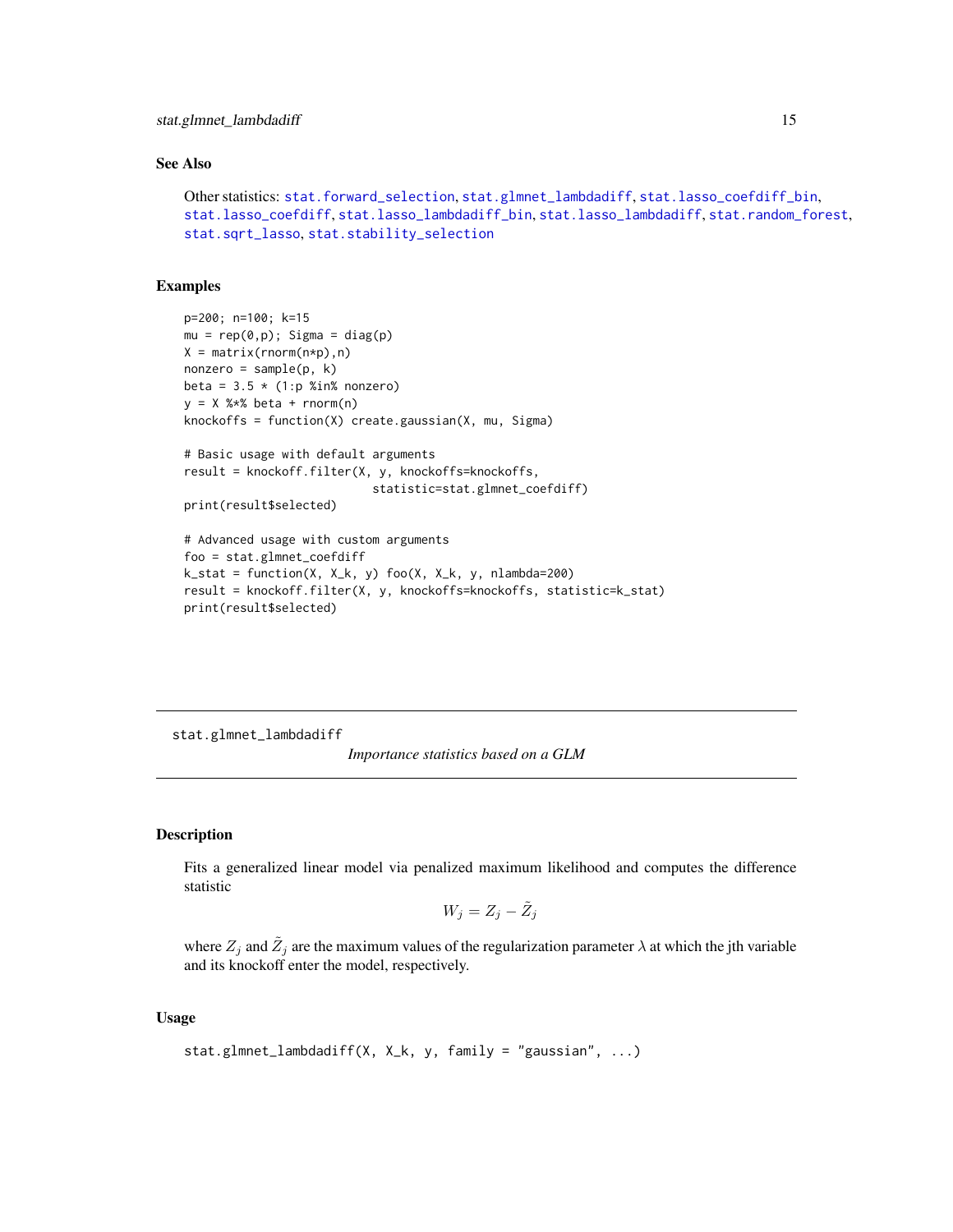# <span id="page-14-0"></span>See Also

```
Other statistics: stat.forward_selection, stat.glmnet_lambdadiff, stat.lasso_coefdiff_bin,
stat.lasso_coefdiff, stat.lasso_lambdadiff_bin, stat.lasso_lambdadiff, stat.random_forest,
stat.sqrt_lasso, stat.stability_selection
```
# Examples

```
p=200; n=100; k=15
mu = rep(0,p); Sigma = diag(p)
X = matrix(rnorm(n*p), n)nonzero = sample(p, k)beta = 3.5 \times (1:p %in% = 0.00000)y = X %*% beta + rnorm(n)
knockoffs = function(X) create.gaussian(X, mu, Sigma)
# Basic usage with default arguments
result = knockoff.filter(X, y, knockoffs=knockoffs,
                           statistic=stat.glmnet_coefdiff)
print(result$selected)
# Advanced usage with custom arguments
foo = stat.glmnet_coefdiff
k_{s} = function(X, X_k, y) foo(X, X_k, y, nlambda=200)
result = knockoff.filter(X, y, knockoffs=knockoffs, statistic=k_stat)
print(result$selected)
```
<span id="page-14-1"></span>stat.glmnet\_lambdadiff

*Importance statistics based on a GLM*

# Description

Fits a generalized linear model via penalized maximum likelihood and computes the difference statistic

$$
W_j = Z_j - \tilde{Z}_j
$$

where  $Z_j$  and  $\tilde{Z}_j$  are the maximum values of the regularization parameter  $\lambda$  at which the jth variable and its knockoff enter the model, respectively.

# Usage

```
stat.glmnet_lambdadiff(X, X_k, y, family = "gaussian", ...)
```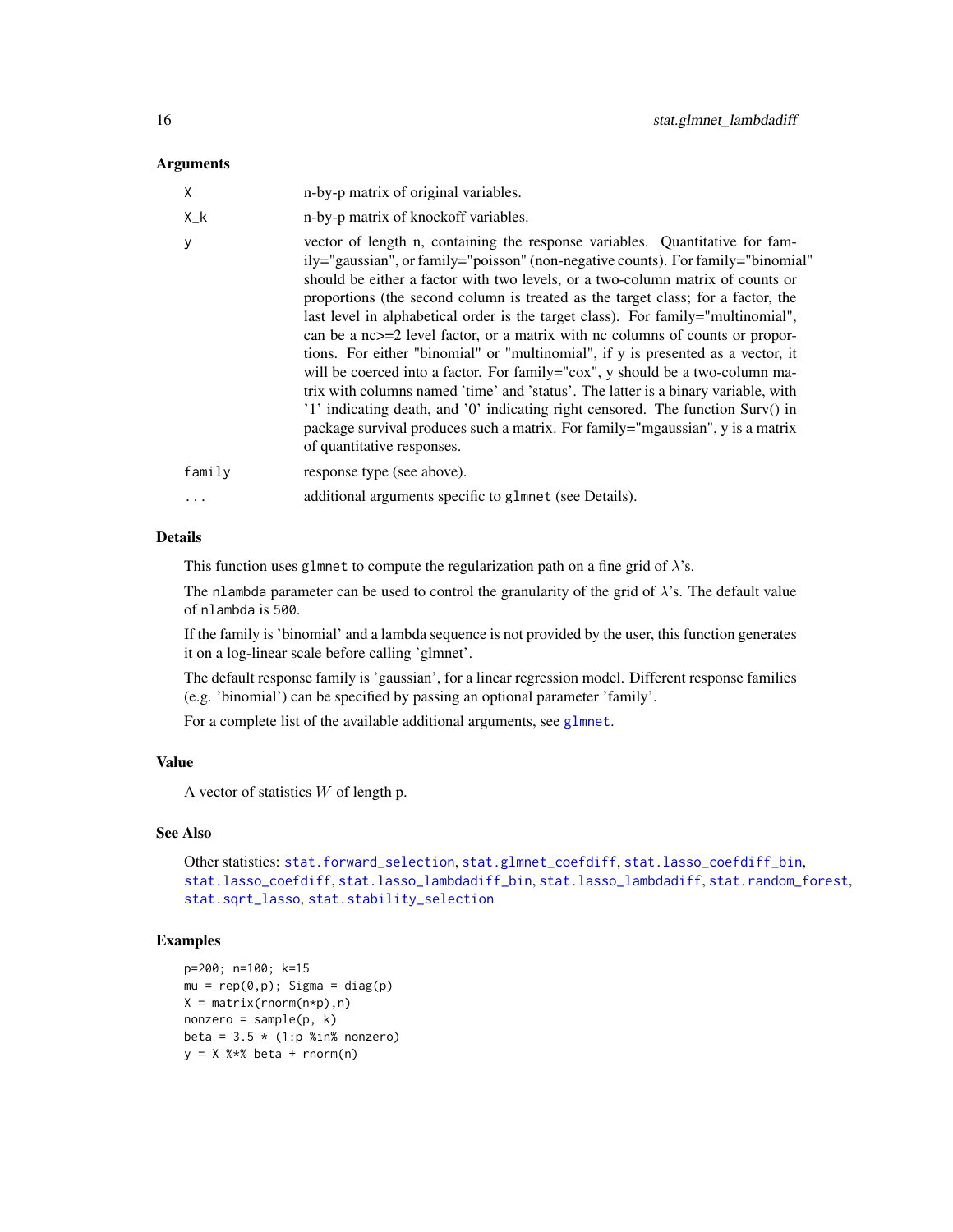# <span id="page-15-0"></span>**Arguments**

| X           | n-by-p matrix of original variables.                                                                                                                                                                                                                                                                                                                                                                                                                                                                                                                                                                                                                                                                                                                                                                                                                                                                                                                                            |
|-------------|---------------------------------------------------------------------------------------------------------------------------------------------------------------------------------------------------------------------------------------------------------------------------------------------------------------------------------------------------------------------------------------------------------------------------------------------------------------------------------------------------------------------------------------------------------------------------------------------------------------------------------------------------------------------------------------------------------------------------------------------------------------------------------------------------------------------------------------------------------------------------------------------------------------------------------------------------------------------------------|
| $X_{-}$ $k$ | n-by-p matrix of knockoff variables.                                                                                                                                                                                                                                                                                                                                                                                                                                                                                                                                                                                                                                                                                                                                                                                                                                                                                                                                            |
| У           | vector of length n, containing the response variables. Quantitative for fam-<br>ily="gaussian", or family="poisson" (non-negative counts). For family="binomial"<br>should be either a factor with two levels, or a two-column matrix of counts or<br>proportions (the second column is treated as the target class; for a factor, the<br>last level in alphabetical order is the target class). For family="multinomial",<br>can be a $nc \geq 2$ level factor, or a matrix with nc columns of counts or propor-<br>tions. For either "binomial" or "multinomial", if y is presented as a vector, it<br>will be coerced into a factor. For family="cox", y should be a two-column ma-<br>trix with columns named 'time' and 'status'. The latter is a binary variable, with<br>'1' indicating death, and '0' indicating right censored. The function Surv() in<br>package survival produces such a matrix. For family="mgaussian", y is a matrix<br>of quantitative responses. |
| family      | response type (see above).                                                                                                                                                                                                                                                                                                                                                                                                                                                                                                                                                                                                                                                                                                                                                                                                                                                                                                                                                      |
| $\ddots$ .  | additional arguments specific to glmnet (see Details).                                                                                                                                                                                                                                                                                                                                                                                                                                                                                                                                                                                                                                                                                                                                                                                                                                                                                                                          |

# Details

This function uses glmnet to compute the regularization path on a fine grid of  $\lambda$ 's.

The nlambda parameter can be used to control the granularity of the grid of  $\lambda$ 's. The default value of nlambda is 500.

If the family is 'binomial' and a lambda sequence is not provided by the user, this function generates it on a log-linear scale before calling 'glmnet'.

The default response family is 'gaussian', for a linear regression model. Different response families (e.g. 'binomial') can be specified by passing an optional parameter 'family'.

For a complete list of the available additional arguments, see [glmnet](#page-0-0).

# Value

A vector of statistics  $W$  of length p.

# See Also

```
Other statistics: stat.forward_selection, stat.glmnet_coefdiff, stat.lasso_coefdiff_bin,
stat.lasso_coefdiff, stat.lasso_lambdadiff_bin, stat.lasso_lambdadiff, stat.random_forest,
stat.sqrt_lasso, stat.stability_selection
```
# Examples

```
p=200; n=100; k=15
mu = rep(0,p); Sigma = diag(p)
X = matrix(rnorm(n*p), n)nonzero = sample(p, k)beta = 3.5 * (1:p %in% nonzero)y = X %*% beta + rnorm(n)
```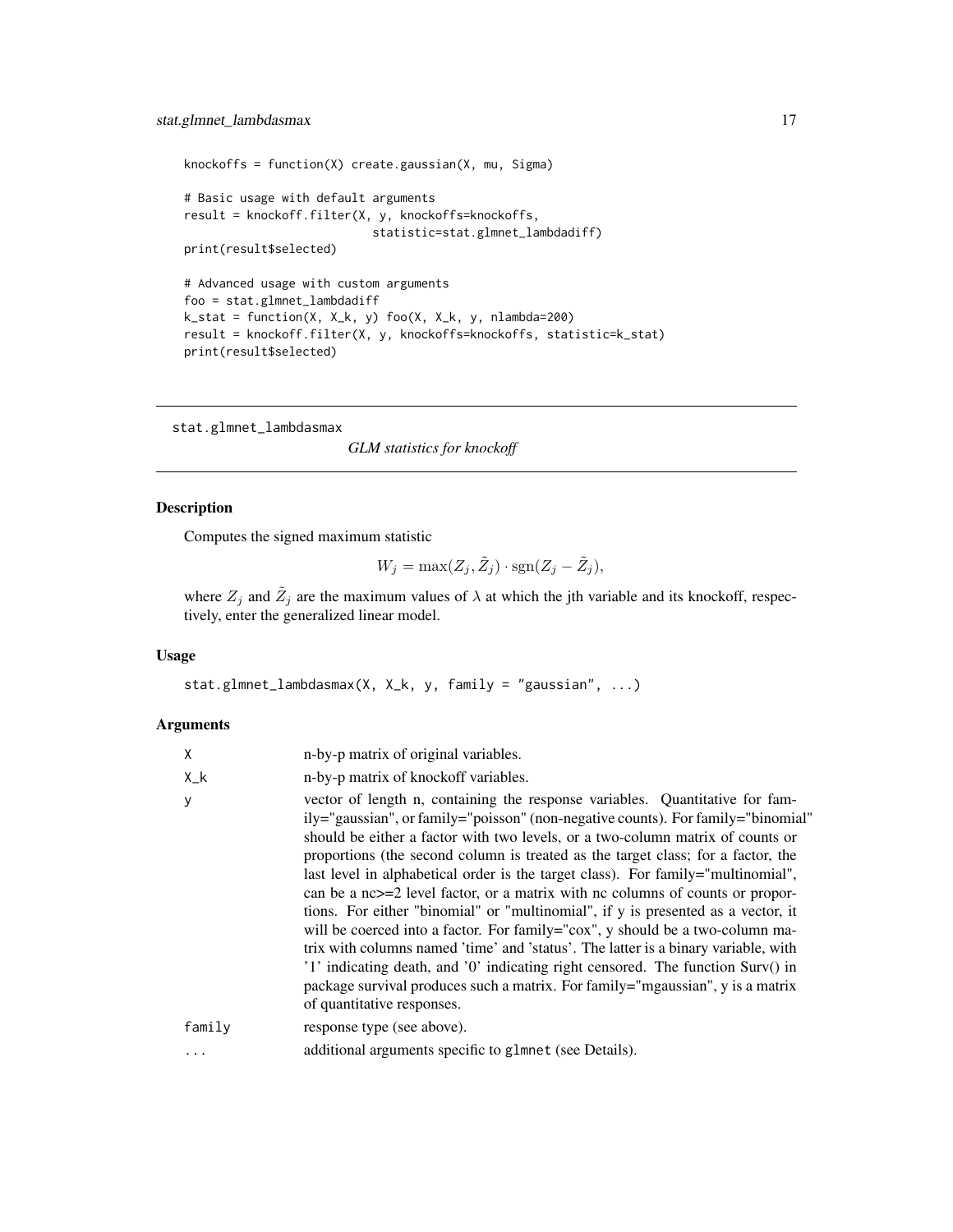```
knockoffs = function(X) create.gaussian(X, mu, Sigma)
# Basic usage with default arguments
result = knockoff.filter(X, y, knockoffs=knockoffs,
                           statistic=stat.glmnet_lambdadiff)
print(result$selected)
# Advanced usage with custom arguments
foo = stat.glmnet_lambdadiff
k_stat = function(X, X_k, y) foo(X, X_k, y, nlambda=200)
result = knockoff.filter(X, y, knockoffs=knockoffs, statistic=k_stat)
print(result$selected)
```
stat.glmnet\_lambdasmax

*GLM statistics for knockoff*

# Description

Computes the signed maximum statistic

$$
W_j = \max(Z_j, \tilde{Z}_j) \cdot \text{sgn}(Z_j - \tilde{Z}_j),
$$

where  $Z_j$  and  $\tilde{Z}_j$  are the maximum values of  $\lambda$  at which the jth variable and its knockoff, respectively, enter the generalized linear model.

#### Usage

```
stat.glmnet_lambdasmax(X, X_k, y, family = "gaussian", ...)
```
### Arguments

| X           | n-by-p matrix of original variables.                                                                                                                                                                                                                                                                                                                                                                                                                                                                                                                                                                                                                                                                                                                                                                                                                                                                                                                                            |
|-------------|---------------------------------------------------------------------------------------------------------------------------------------------------------------------------------------------------------------------------------------------------------------------------------------------------------------------------------------------------------------------------------------------------------------------------------------------------------------------------------------------------------------------------------------------------------------------------------------------------------------------------------------------------------------------------------------------------------------------------------------------------------------------------------------------------------------------------------------------------------------------------------------------------------------------------------------------------------------------------------|
| $X_{-}$ $k$ | n-by-p matrix of knockoff variables.                                                                                                                                                                                                                                                                                                                                                                                                                                                                                                                                                                                                                                                                                                                                                                                                                                                                                                                                            |
| y           | vector of length n, containing the response variables. Quantitative for fam-<br>ily="gaussian", or family="poisson" (non-negative counts). For family="binomial"<br>should be either a factor with two levels, or a two-column matrix of counts or<br>proportions (the second column is treated as the target class; for a factor, the<br>last level in alphabetical order is the target class). For family="multinomial",<br>can be a $nc \geq 2$ level factor, or a matrix with nc columns of counts or propor-<br>tions. For either "binomial" or "multinomial", if y is presented as a vector, it<br>will be coerced into a factor. For family="cox", y should be a two-column ma-<br>trix with columns named 'time' and 'status'. The latter is a binary variable, with<br>'1' indicating death, and '0' indicating right censored. The function Surv() in<br>package survival produces such a matrix. For family="mgaussian", y is a matrix<br>of quantitative responses. |
| family      | response type (see above).                                                                                                                                                                                                                                                                                                                                                                                                                                                                                                                                                                                                                                                                                                                                                                                                                                                                                                                                                      |
| $\cdots$    | additional arguments specific to glmnet (see Details).                                                                                                                                                                                                                                                                                                                                                                                                                                                                                                                                                                                                                                                                                                                                                                                                                                                                                                                          |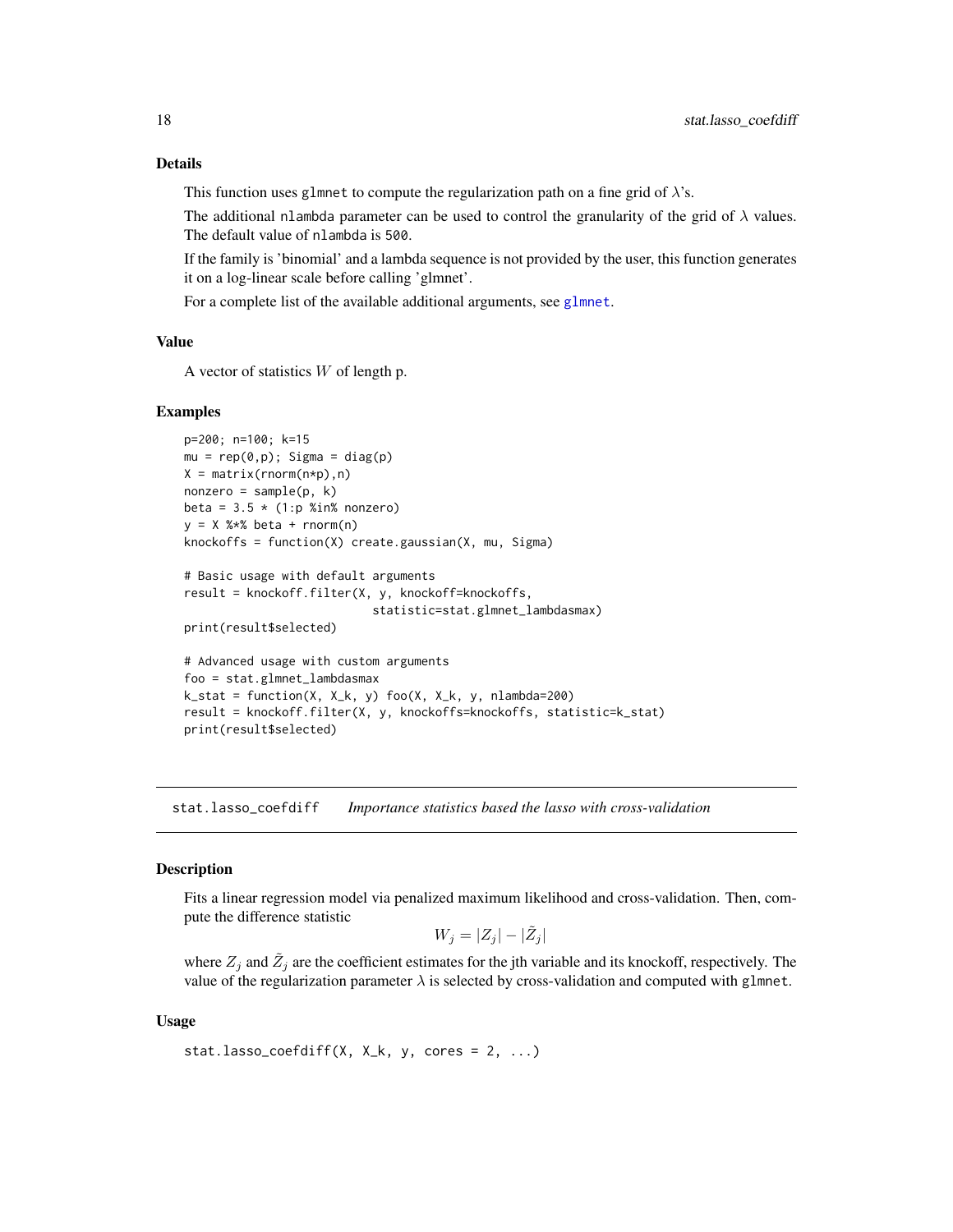This function uses glmnet to compute the regularization path on a fine grid of  $\lambda$ 's.

The additional nlambda parameter can be used to control the granularity of the grid of  $\lambda$  values. The default value of nlambda is 500.

If the family is 'binomial' and a lambda sequence is not provided by the user, this function generates it on a log-linear scale before calling 'glmnet'.

For a complete list of the available additional arguments, see [glmnet](#page-0-0).

# Value

A vector of statistics  $W$  of length p.

#### Examples

```
p=200; n=100; k=15
mu = rep(0,p); Sigma = diag(p)
X = matrix(rnorm(n*p), n)nonzero = sample(p, k)beta = 3.5 * (1:p %in% nonzero)y = X %*% beta + rnorm(n)
knockoffs = function(X) create.gaussian(X, mu, Sigma)
```

```
# Basic usage with default arguments
result = knockoff.filter(X, y, knockoff=knockoffs,
                           statistic=stat.glmnet_lambdasmax)
```
print(result\$selected)

```
# Advanced usage with custom arguments
foo = stat.glmnet_lambdasmax
k_{stat} = function(X, X_k, y) foo(X, X_k, y) nlambda=200)
result = knockoff.filter(X, y, knockoffs=knockoffs, statistic=k_stat)
print(result$selected)
```
<span id="page-17-1"></span>stat.lasso\_coefdiff *Importance statistics based the lasso with cross-validation*

#### **Description**

Fits a linear regression model via penalized maximum likelihood and cross-validation. Then, compute the difference statistic

 $W_j = |Z_j| - |\tilde{Z}_j|$ 

where  $Z_j$  and  $\tilde{Z}_j$  are the coefficient estimates for the jth variable and its knockoff, respectively. The value of the regularization parameter  $\lambda$  is selected by cross-validation and computed with glmnet.

#### Usage

```
stat. lasso\_coeffdiff(X, X_k, y, cores = 2, ...)
```
<span id="page-17-0"></span>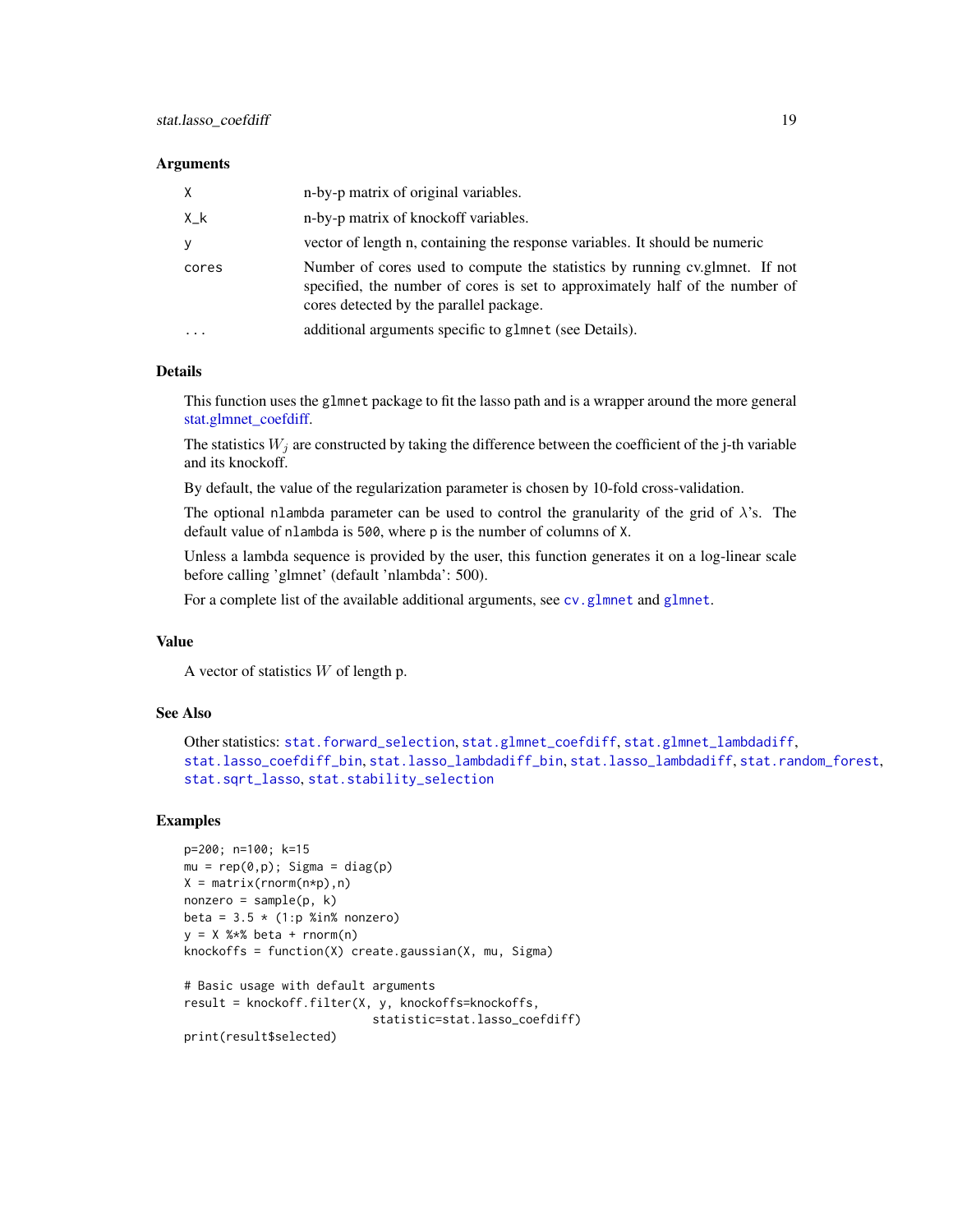#### <span id="page-18-0"></span>**Arguments**

| X           | n-by-p matrix of original variables.                                                                                                                                                                    |
|-------------|---------------------------------------------------------------------------------------------------------------------------------------------------------------------------------------------------------|
| $X_{-}$ $k$ | n-by-p matrix of knockoff variables.                                                                                                                                                                    |
| V           | vector of length n, containing the response variables. It should be numeric                                                                                                                             |
| cores       | Number of cores used to compute the statistics by running cy, glmnet. If not<br>specified, the number of cores is set to approximately half of the number of<br>cores detected by the parallel package. |
| $\cdots$    | additional arguments specific to glmnet (see Details).                                                                                                                                                  |

# Details

This function uses the glmnet package to fit the lasso path and is a wrapper around the more general [stat.glmnet\\_coefdiff.](#page-12-1)

The statistics  $W_j$  are constructed by taking the difference between the coefficient of the j-th variable and its knockoff.

By default, the value of the regularization parameter is chosen by 10-fold cross-validation.

The optional nlambda parameter can be used to control the granularity of the grid of  $\lambda$ 's. The default value of nlambda is 500, where p is the number of columns of X.

Unless a lambda sequence is provided by the user, this function generates it on a log-linear scale before calling 'glmnet' (default 'nlambda': 500).

For a complete list of the available additional arguments, see [cv.glmnet](#page-0-0) and [glmnet](#page-0-0).

# Value

A vector of statistics  $W$  of length p.

# See Also

```
Other statistics: stat.forward_selection, stat.glmnet_coefdiff, stat.glmnet_lambdadiff,
stat.lasso_coefdiff_bin, stat.lasso_lambdadiff_bin, stat.lasso_lambdadiff, stat.random_forest,
stat.sqrt_lasso, stat.stability_selection
```
# Examples

```
p=200; n=100; k=15
mu = rep(0,p); Sigma = diag(p)
X = matrix(rnorm(n*p), n)nonzero = sample(p, k)beta = 3.5 \times (1:p %in% = 0.00000)y = X %*% beta + rnorm(n)
knockoffs = function(X) create.gaussian(X, mu, Sigma)# Basic usage with default arguments
result = knockoff.filter(X, y, knockoffs=knockoffs,
                           statistic=stat.lasso_coefdiff)
```
print(result\$selected)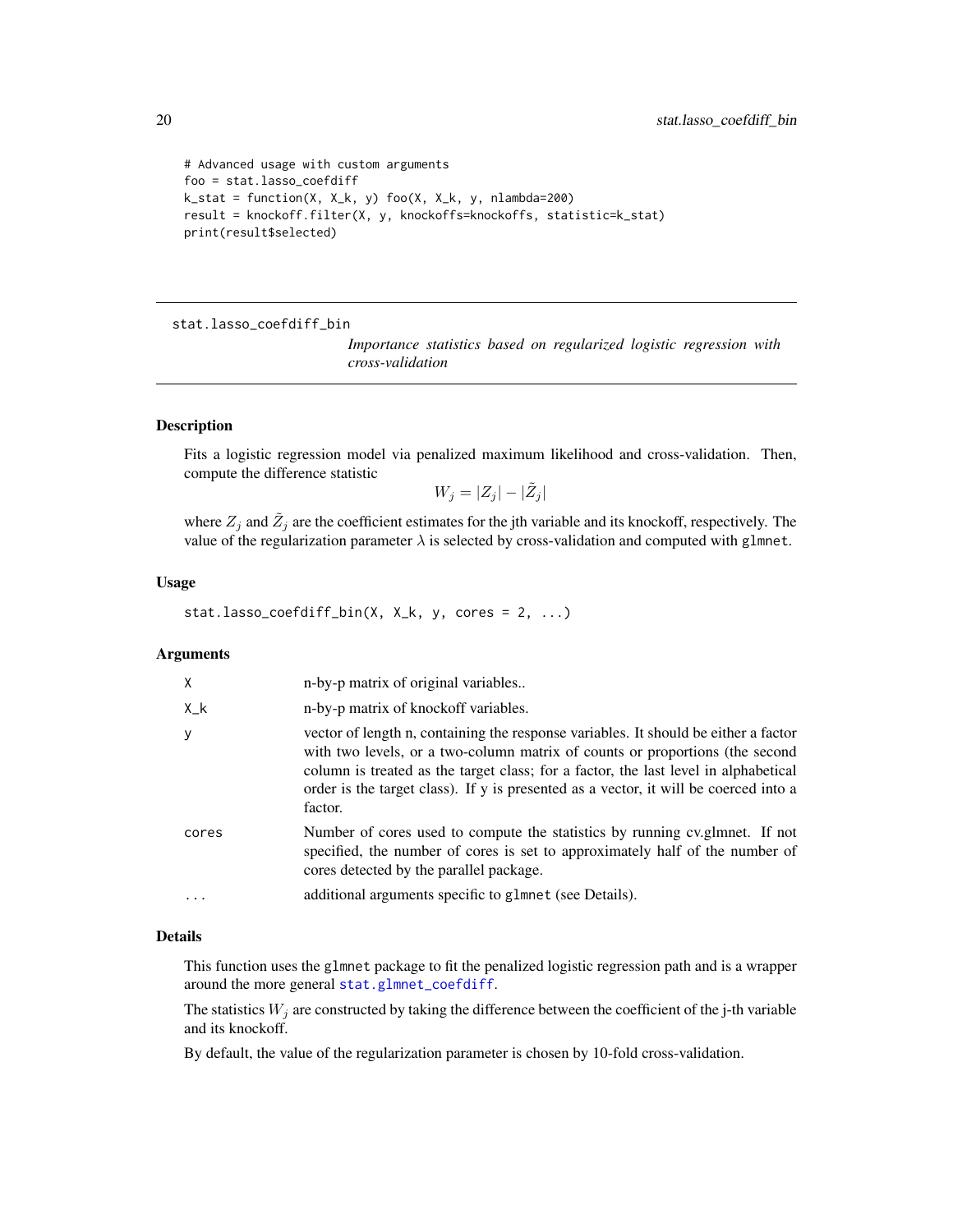```
# Advanced usage with custom arguments
foo = stat.lasso_coefdiff
k_stat = function(X, X_k, y) foo(X, X_k, y, nlambda=200)
result = knockoff.filter(X, y, knockoffs=knockoffs, statistic=k_stat)
print(result$selected)
```
<span id="page-19-1"></span>stat.lasso\_coefdiff\_bin

*Importance statistics based on regularized logistic regression with cross-validation*

# Description

Fits a logistic regression model via penalized maximum likelihood and cross-validation. Then, compute the difference statistic

 $W_j = |Z_j| - |\tilde{Z}_j|$ 

where  $Z_j$  and  $\tilde{Z}_j$  are the coefficient estimates for the jth variable and its knockoff, respectively. The value of the regularization parameter  $\lambda$  is selected by cross-validation and computed with glmnet.

# Usage

stat.lasso\_coefdiff\_bin(X,  $X_k$ , y, cores = 2, ...)

# Arguments

| X           | n-by-p matrix of original variables                                                                                                                                                                                                                                                                                                                           |
|-------------|---------------------------------------------------------------------------------------------------------------------------------------------------------------------------------------------------------------------------------------------------------------------------------------------------------------------------------------------------------------|
| $X_{-}$ $k$ | n-by-p matrix of knockoff variables.                                                                                                                                                                                                                                                                                                                          |
| У           | vector of length n, containing the response variables. It should be either a factor<br>with two levels, or a two-column matrix of counts or proportions (the second<br>column is treated as the target class; for a factor, the last level in alphabetical<br>order is the target class). If y is presented as a vector, it will be coerced into a<br>factor. |
| cores       | Number of cores used to compute the statistics by running cv.glmnet. If not<br>specified, the number of cores is set to approximately half of the number of<br>cores detected by the parallel package.                                                                                                                                                        |
|             | additional arguments specific to glmnet (see Details).                                                                                                                                                                                                                                                                                                        |
|             |                                                                                                                                                                                                                                                                                                                                                               |

# Details

This function uses the glmnet package to fit the penalized logistic regression path and is a wrapper around the more general [stat.glmnet\\_coefdiff](#page-12-1).

The statistics  $W_j$  are constructed by taking the difference between the coefficient of the j-th variable and its knockoff.

By default, the value of the regularization parameter is chosen by 10-fold cross-validation.

<span id="page-19-0"></span>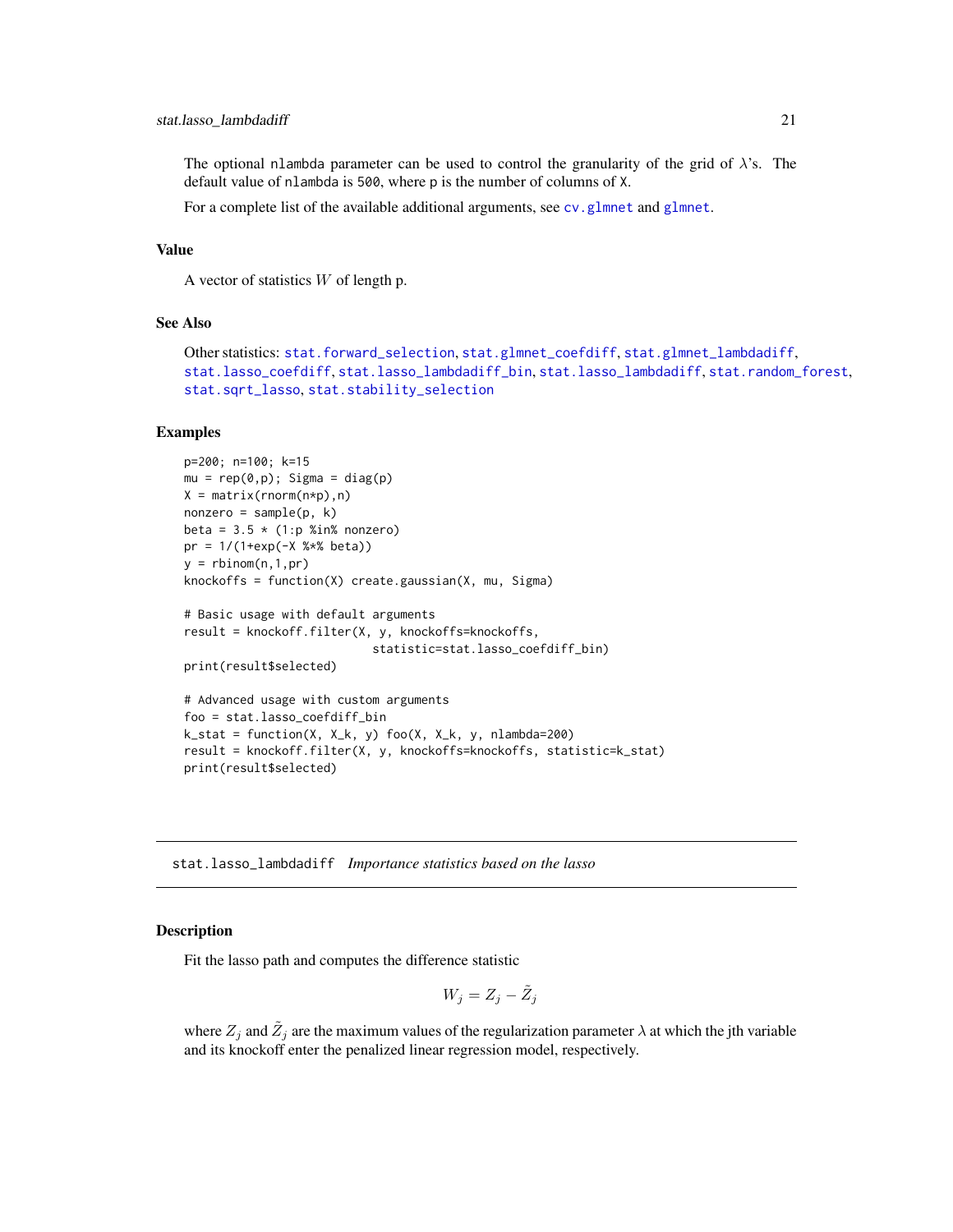#### <span id="page-20-0"></span>stat.lasso\_lambdadiff 21

The optional nlambda parameter can be used to control the granularity of the grid of  $\lambda$ 's. The default value of nlambda is 500, where p is the number of columns of X.

For a complete list of the available additional arguments, see cv. [glmnet](#page-0-0) and glmnet.

# Value

A vector of statistics  $W$  of length p.

# See Also

```
Other statistics: stat.forward_selection, stat.glmnet_coefdiff, stat.glmnet_lambdadiff,
stat.lasso_coefdiff, stat.lasso_lambdadiff_bin, stat.lasso_lambdadiff, stat.random_forest,
stat.sqrt_lasso, stat.stability_selection
```
# Examples

```
p=200; n=100; k=15
mu = rep(0,p); Sigma = diag(p)
X = matrix(rnorm(n*p), n)nonzero = sample(p, k)beta = 3.5 * (1:p %in% nonzero)pr = 1/(1+exp(-X %<i>*</i>% beta))y = rbinom(n, 1, pr)knockoffs = function(X) create.gaussian(X, mu, Sigma)
# Basic usage with default arguments
result = knockoff.filter(X, y, knockoffs=knockoffs,
                           statistic=stat.lasso_coefdiff_bin)
print(result$selected)
# Advanced usage with custom arguments
foo = stat.lasso_coefdiff_bin
k_{s} = function(X, X_k, y) foo(X, X_k, y, nlambda=200)
result = knockoff.filter(X, y, knockoffs=knockoffs, statistic=k_stat)
print(result$selected)
```
<span id="page-20-1"></span>stat.lasso\_lambdadiff *Importance statistics based on the lasso*

# **Description**

Fit the lasso path and computes the difference statistic

$$
W_j = Z_j - \tilde{Z}_j
$$

where  $Z_j$  and  $\tilde{Z}_j$  are the maximum values of the regularization parameter  $\lambda$  at which the jth variable and its knockoff enter the penalized linear regression model, respectively.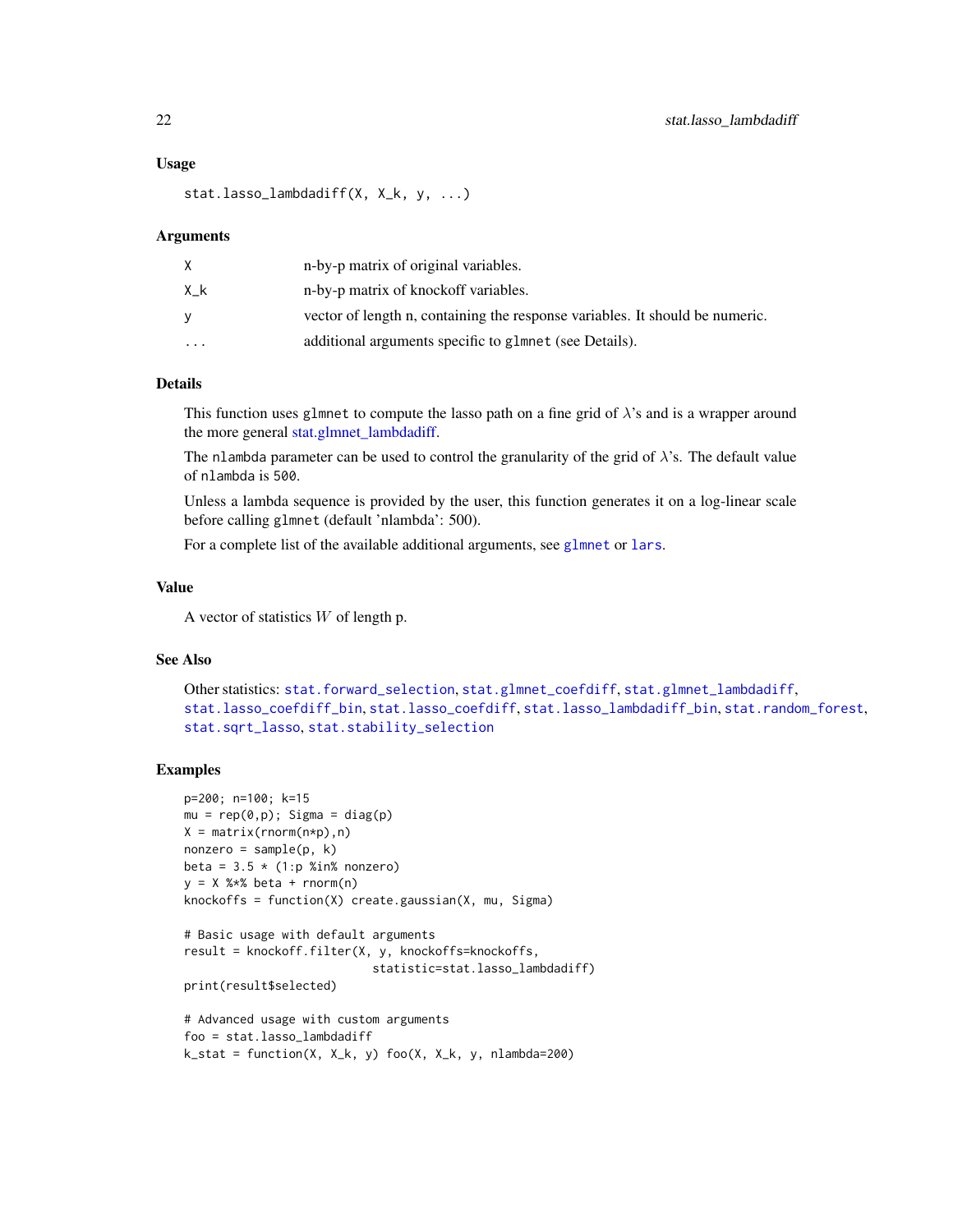#### Usage

stat.lasso\_lambdadiff(X, X\_k, y, ...)

#### **Arguments**

|           | n-by-p matrix of original variables.                                         |
|-----------|------------------------------------------------------------------------------|
| Хk        | n-by-p matrix of knockoff variables.                                         |
| v         | vector of length n, containing the response variables. It should be numeric. |
| $\ddotsc$ | additional arguments specific to glmnet (see Details).                       |

# Details

This function uses glmnet to compute the lasso path on a fine grid of  $\lambda$ 's and is a wrapper around the more general [stat.glmnet\\_lambdadiff.](#page-14-1)

The nlambda parameter can be used to control the granularity of the grid of  $\lambda$ 's. The default value of nlambda is 500.

Unless a lambda sequence is provided by the user, this function generates it on a log-linear scale before calling glmnet (default 'nlambda': 500).

For a complete list of the available additional arguments, see [glmnet](#page-0-0) or [lars](#page-0-0).

# Value

A vector of statistics  $W$  of length p.

# See Also

```
Other statistics: stat.forward_selection, stat.glmnet_coefdiff, stat.glmnet_lambdadiff,
stat.lasso_coefdiff_bin, stat.lasso_coefdiff, stat.lasso_lambdadiff_bin, stat.random_forest,
stat.sqrt_lasso, stat.stability_selection
```
# Examples

```
p=200; n=100; k=15
mu = rep(0,p); Sigma = diag(p)
X = matrix(rnorm(n*p), n)nonzero = sample(p, k)beta = 3.5 \times (1:p %in% = 0.00000)y = X %*% beta + rnorm(n)
knockoffs = function(X) create.gaussian(X, mu, Sigma)
```

```
# Basic usage with default arguments
result = knockoff.filter(X, y, knockoffs=knockoffs,
                           statistic=stat.lasso_lambdadiff)
```

```
print(result$selected)
```

```
# Advanced usage with custom arguments
foo = stat.lasso_lambdadiff
k_{s} = function(X, X_k, y) foo(X, X_k, y, nlambda=200)
```
<span id="page-21-0"></span>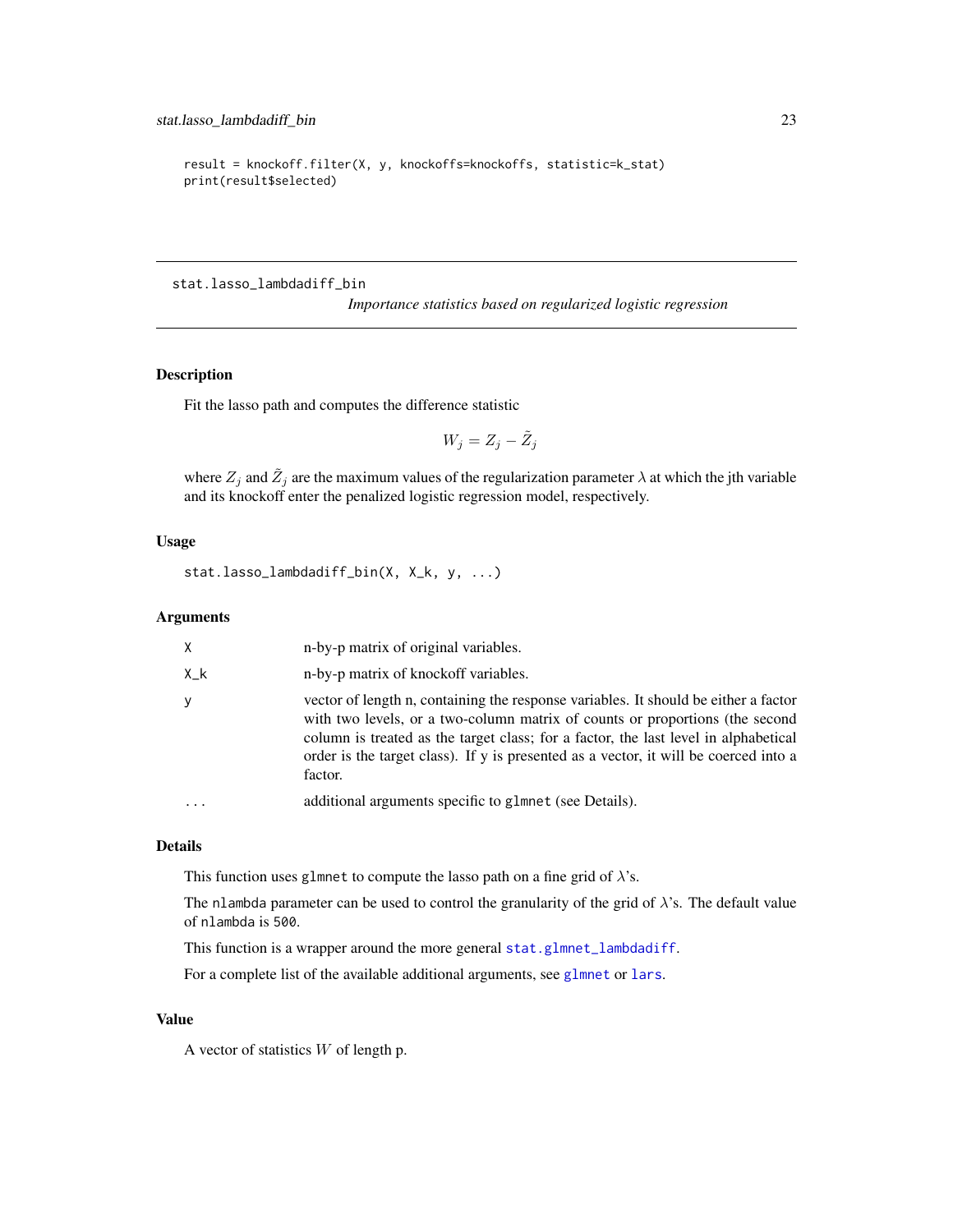```
result = knockoff.filter(X, y, knockoffs=knockoffs, statistic=k_stat)
print(result$selected)
```
<span id="page-22-1"></span>stat.lasso\_lambdadiff\_bin

*Importance statistics based on regularized logistic regression*

# Description

Fit the lasso path and computes the difference statistic

$$
W_j = Z_j - \tilde{Z}_j
$$

where  $Z_j$  and  $\tilde{Z}_j$  are the maximum values of the regularization parameter  $\lambda$  at which the jth variable and its knockoff enter the penalized logistic regression model, respectively.

# Usage

stat.lasso\_lambdadiff\_bin(X, X\_k, y, ...)

# Arguments

| X   | n-by-p matrix of original variables.                                                                                                                                                                                                                                                                                                                          |
|-----|---------------------------------------------------------------------------------------------------------------------------------------------------------------------------------------------------------------------------------------------------------------------------------------------------------------------------------------------------------------|
| X_k | n-by-p matrix of knockoff variables.                                                                                                                                                                                                                                                                                                                          |
| y   | vector of length n, containing the response variables. It should be either a factor<br>with two levels, or a two-column matrix of counts or proportions (the second<br>column is treated as the target class; for a factor, the last level in alphabetical<br>order is the target class). If y is presented as a vector, it will be coerced into a<br>factor. |
|     | additional arguments specific to glmnet (see Details).                                                                                                                                                                                                                                                                                                        |

# Details

This function uses glmnet to compute the lasso path on a fine grid of  $\lambda$ 's.

The nlambda parameter can be used to control the granularity of the grid of  $\lambda$ 's. The default value of nlambda is 500.

This function is a wrapper around the more general [stat.glmnet\\_lambdadiff](#page-14-1).

For a complete list of the available additional arguments, see [glmnet](#page-0-0) or [lars](#page-0-0).

# Value

A vector of statistics  $W$  of length p.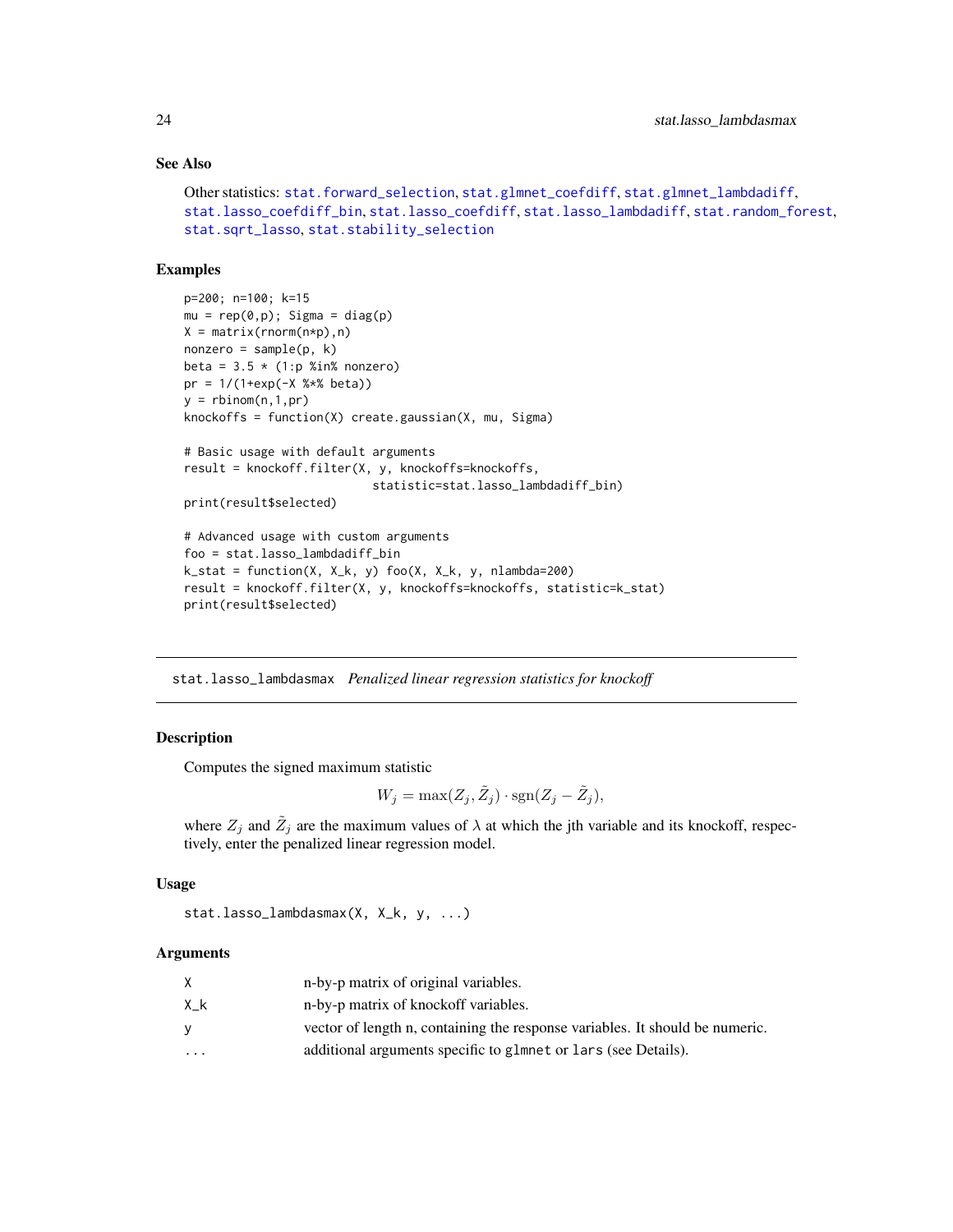# See Also

```
Other statistics: stat.forward_selection, stat.glmnet_coefdiff, stat.glmnet_lambdadiff,
stat.lasso_coefdiff_bin, stat.lasso_coefdiff, stat.lasso_lambdadiff, stat.random_forest,
stat.sqrt_lasso, stat.stability_selection
```
#### Examples

```
p=200; n=100; k=15
mu = rep(0,p); Sigma = diag(p)
X = matrix(rnorm(n*p), n)nonzero = sample(p, k)beta = 3.5 * (1:p %in% nonzero)pr = 1/(1+exp(-X %*% beta))
y = rbinom(n, 1, pr)knockoffs = function(X) create.gaussian(X, mu, Sigma)
# Basic usage with default arguments
result = knockoff.filter(X, y, knockoffs=knockoffs,
                           statistic=stat.lasso_lambdadiff_bin)
print(result$selected)
# Advanced usage with custom arguments
foo = stat.lasso_lambdadiff_bin
k_{stat} = function(X, X_k, y) foo(X, X_k, y, nlambda=200)
result = knockoff.filter(X, y, knockoffs=knockoffs, statistic=k_stat)
print(result$selected)
```
stat.lasso\_lambdasmax *Penalized linear regression statistics for knockoff*

# **Description**

Computes the signed maximum statistic

 $W_j = \max(Z_j, \tilde{Z}_j) \cdot \text{sgn}(Z_j - \tilde{Z}_j),$ 

where  $Z_j$  and  $\tilde{Z}_j$  are the maximum values of  $\lambda$  at which the jth variable and its knockoff, respectively, enter the penalized linear regression model.

#### Usage

```
stat.lasso_lambdasmax(X, X_k, y, ...)
```
#### Arguments

|          | n-by-p matrix of original variables.                                         |
|----------|------------------------------------------------------------------------------|
| Χk       | n-by-p matrix of knockoff variables.                                         |
| v        | vector of length n, containing the response variables. It should be numeric. |
| $\cdots$ | additional arguments specific to glmnet or lars (see Details).               |

<span id="page-23-0"></span>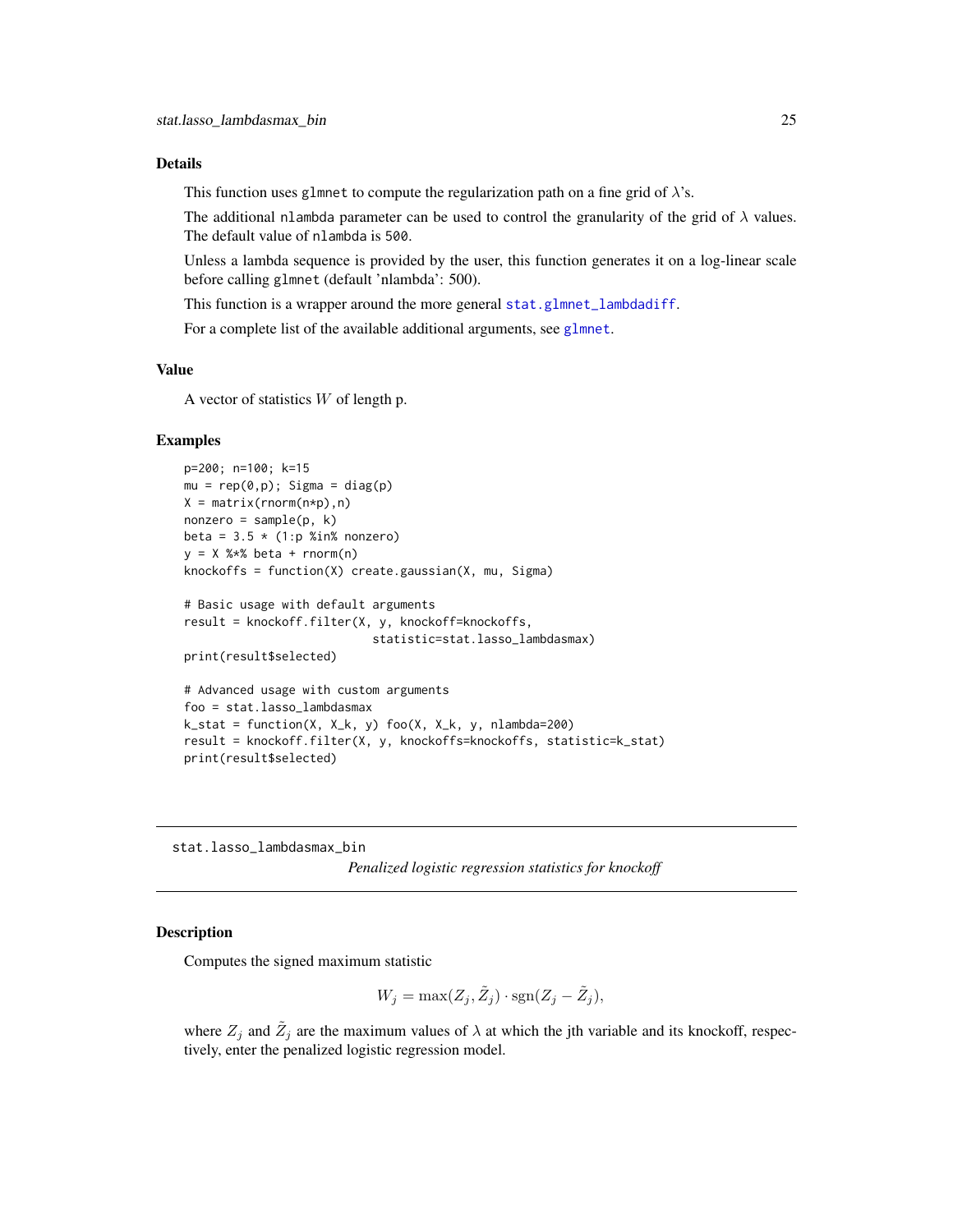#### <span id="page-24-0"></span>Details

This function uses glmnet to compute the regularization path on a fine grid of  $\lambda$ 's.

The additional nlambda parameter can be used to control the granularity of the grid of  $\lambda$  values. The default value of nlambda is 500.

Unless a lambda sequence is provided by the user, this function generates it on a log-linear scale before calling glmnet (default 'nlambda': 500).

This function is a wrapper around the more general [stat.glmnet\\_lambdadiff](#page-14-1).

For a complete list of the available additional arguments, see [glmnet](#page-0-0).

# Value

A vector of statistics  $W$  of length p.

# Examples

```
p=200; n=100; k=15
mu = rep(0,p); Sigma = diag(p)
X = matrix(rnorm(n*p), n)nonzero = sample(p, k)beta = 3.5 * (1:p %in% nonzero)y = X %*% beta + rnorm(n)
knockoffs = function(X) create.gaussian(X, mu, Sigma)
# Basic usage with default arguments
result = knockoff.filter(X, y, knockoff=knockoffs,
                           statistic=stat.lasso_lambdasmax)
print(result$selected)
# Advanced usage with custom arguments
foo = stat.lasso_lambdasmax
k_stat = function(X, X_k, y) foo(X, X_k, y, nlambda=200)
result = knockoff.filter(X, y, knockoffs=knockoffs, statistic=k_stat)
print(result$selected)
```
stat.lasso\_lambdasmax\_bin

*Penalized logistic regression statistics for knockoff*

# Description

Computes the signed maximum statistic

$$
W_j = \max(Z_j, \tilde{Z}_j) \cdot \text{sgn}(Z_j - \tilde{Z}_j),
$$

where  $Z_j$  and  $\tilde{Z}_j$  are the maximum values of  $\lambda$  at which the jth variable and its knockoff, respectively, enter the penalized logistic regression model.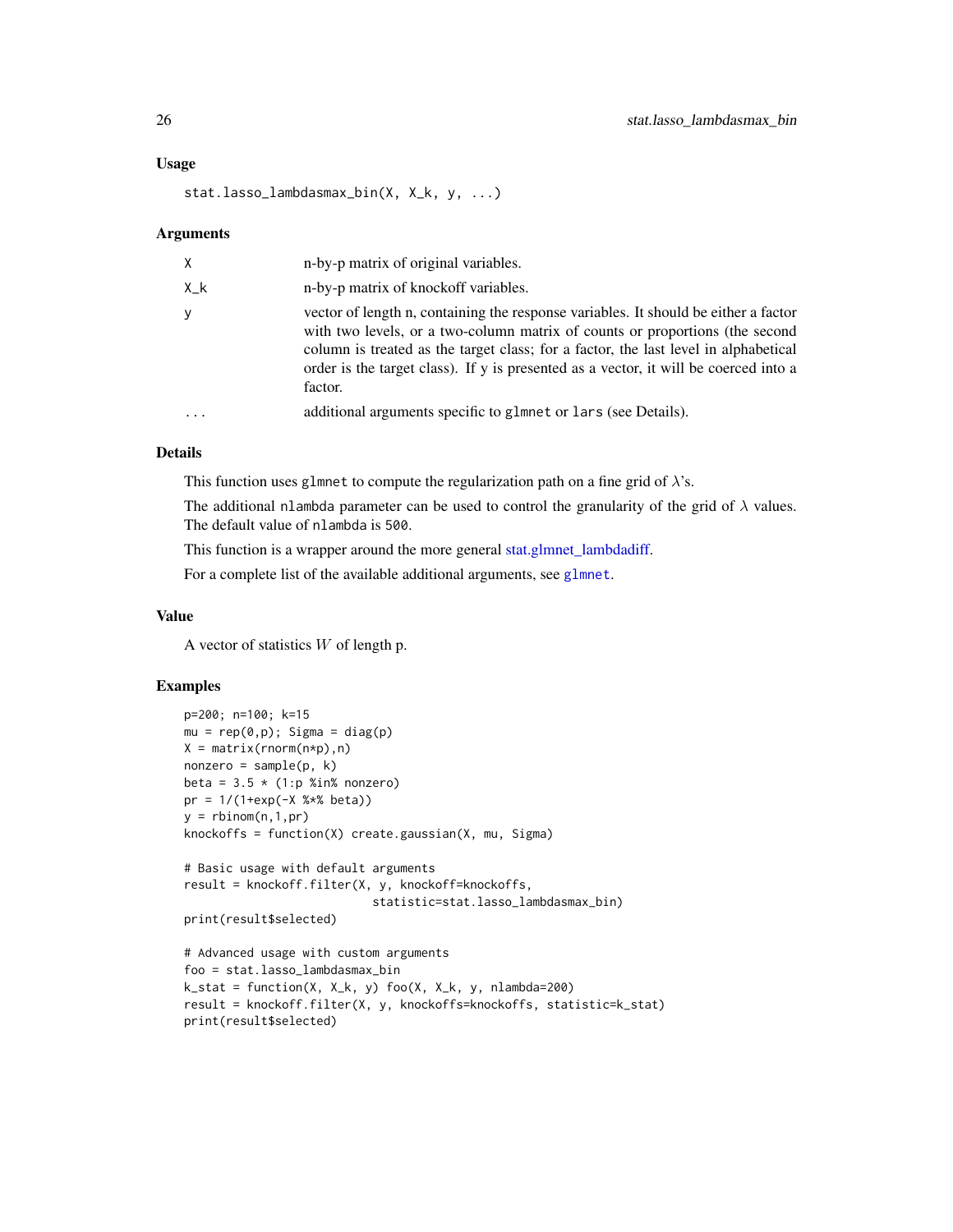#### <span id="page-25-0"></span>Usage

stat.lasso\_lambdasmax\_bin(X, X\_k, y, ...)

#### Arguments

| X   | n-by-p matrix of original variables.                                                                                                                                                                                                                                                                                                                          |
|-----|---------------------------------------------------------------------------------------------------------------------------------------------------------------------------------------------------------------------------------------------------------------------------------------------------------------------------------------------------------------|
| X k | n-by-p matrix of knockoff variables.                                                                                                                                                                                                                                                                                                                          |
| У   | vector of length n, containing the response variables. It should be either a factor<br>with two levels, or a two-column matrix of counts or proportions (the second<br>column is treated as the target class; for a factor, the last level in alphabetical<br>order is the target class). If y is presented as a vector, it will be coerced into a<br>factor. |
|     | additional arguments specific to glmnet or lars (see Details).                                                                                                                                                                                                                                                                                                |
|     |                                                                                                                                                                                                                                                                                                                                                               |

# Details

This function uses glmnet to compute the regularization path on a fine grid of  $\lambda$ 's.

The additional nlambda parameter can be used to control the granularity of the grid of  $\lambda$  values. The default value of nlambda is 500.

This function is a wrapper around the more general [stat.glmnet\\_lambdadiff.](#page-14-1)

For a complete list of the available additional arguments, see [glmnet](#page-0-0).

# Value

A vector of statistics  $W$  of length p.

### Examples

```
p=200; n=100; k=15
mu = rep(0,p); Sigma = diag(p)
X = matrix(rnorm(n*p), n)nonzero = sample(p, k)beta = 3.5 * (1:p %in% nonzero)pr = 1/(1+exp(-X %<i>*</i>% beta))y = rbinom(n, 1, pr)knockoffs = function(X) create.gaussian(X, mu, Sigma)
# Basic usage with default arguments
result = knockoff.filter(X, y, knockoff=knockoffs,
                           statistic=stat.lasso_lambdasmax_bin)
print(result$selected)
# Advanced usage with custom arguments
foo = stat.lasso_lambdasmax_bin
k_stat = function(X, X_k, y) foo(X, X_k, y, nlambda=200)
result = knockoff.filter(X, y, knockoffs=knockoffs, statistic=k_stat)
print(result$selected)
```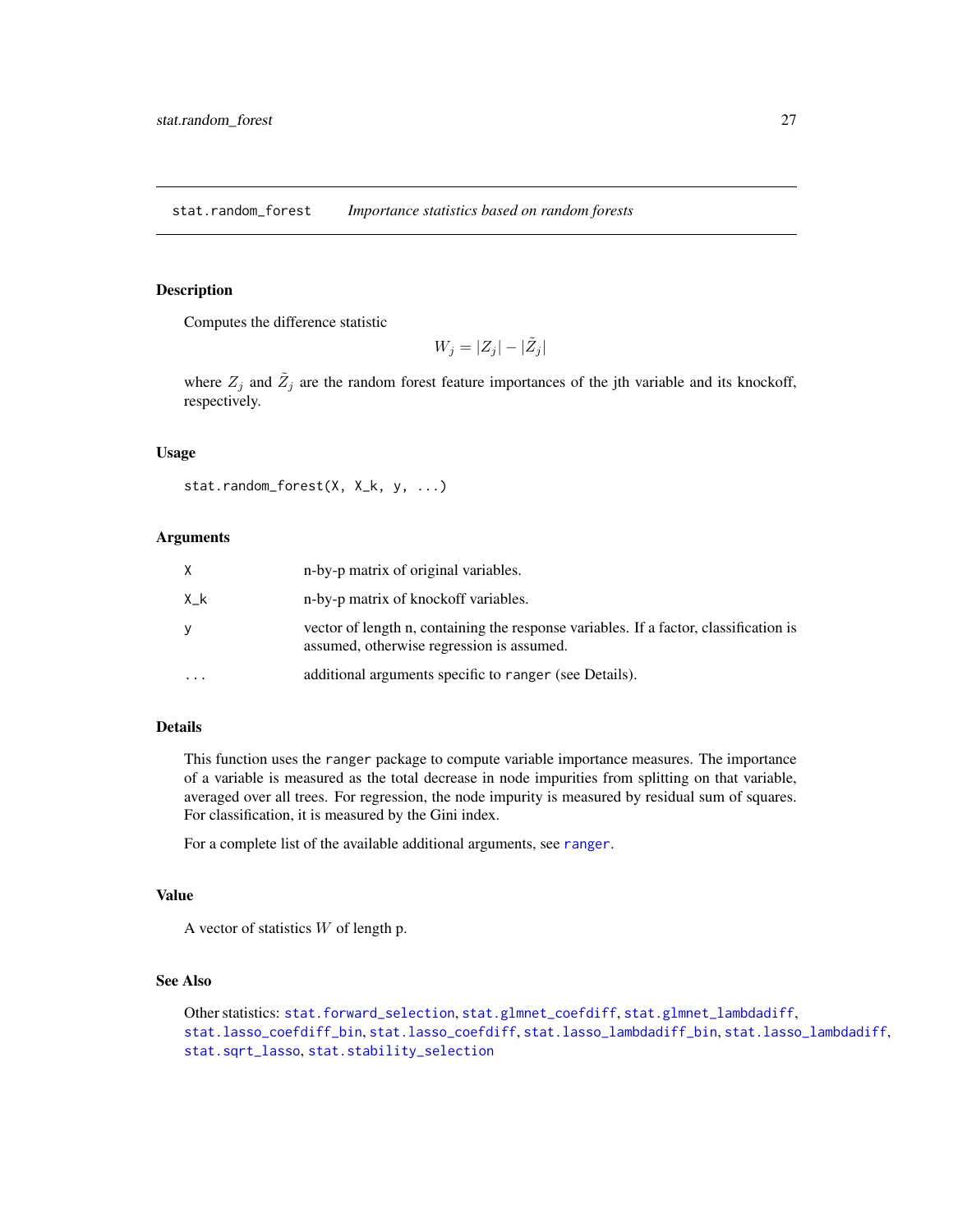<span id="page-26-1"></span><span id="page-26-0"></span>stat.random\_forest *Importance statistics based on random forests*

# Description

Computes the difference statistic

 $W_j = |Z_j| - |\tilde{Z}_j|$ 

where  $Z_j$  and  $\tilde{Z}_j$  are the random forest feature importances of the jth variable and its knockoff, respectively.

# Usage

```
stat.random_forest(X, X_k, y, ...)
```
# Arguments

|    | n-by-p matrix of original variables.                                                                                               |
|----|------------------------------------------------------------------------------------------------------------------------------------|
| Хk | n-by-p matrix of knockoff variables.                                                                                               |
| V  | vector of length n, containing the response variables. If a factor, classification is<br>assumed, otherwise regression is assumed. |
|    | additional arguments specific to ranger (see Details).                                                                             |

# Details

This function uses the ranger package to compute variable importance measures. The importance of a variable is measured as the total decrease in node impurities from splitting on that variable, averaged over all trees. For regression, the node impurity is measured by residual sum of squares. For classification, it is measured by the Gini index.

For a complete list of the available additional arguments, see [ranger](#page-0-0).

#### Value

A vector of statistics  $W$  of length p.

# See Also

```
Other statistics: stat.forward_selection, stat.glmnet_coefdiff, stat.glmnet_lambdadiff,
stat.lasso_coefdiff_bin, stat.lasso_coefdiff, stat.lasso_lambdadiff_bin, stat.lasso_lambdadiff,
stat.sqrt_lasso, stat.stability_selection
```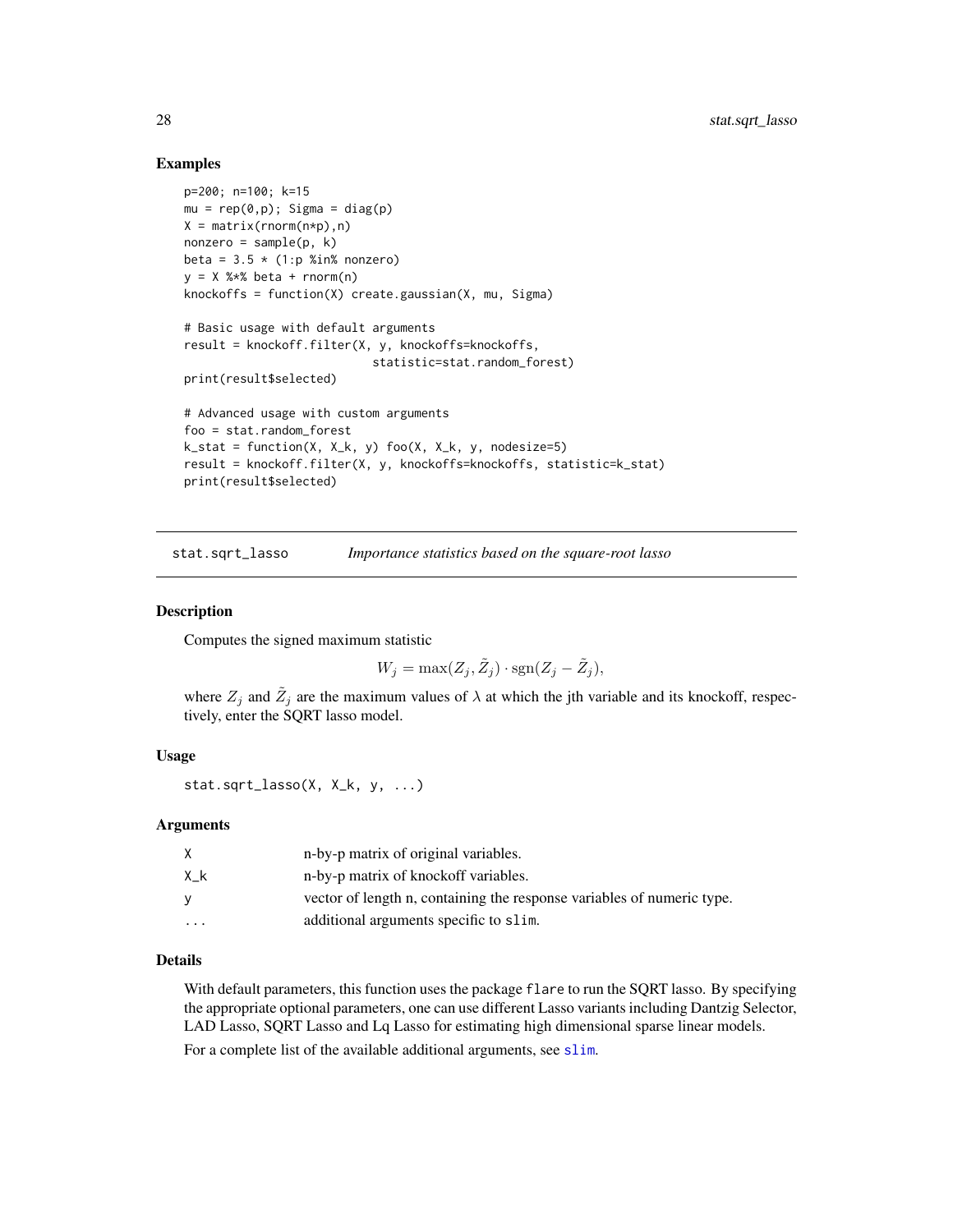# Examples

```
p=200; n=100; k=15
mu = rep(0,p); Sigma = diag(p)
X = matrix(rnorm(n*p), n)nonzero = sample(p, k)beta = 3.5 * (1:p %in% nonzero)y = X %*% beta + rnorm(n)
knockoffs = function(X) create.gaussian(X, mu, Sigma)
# Basic usage with default arguments
result = knockoff.filter(X, y, knockoffs=knockoffs,
                           statistic=stat.random_forest)
print(result$selected)
# Advanced usage with custom arguments
foo = stat.random_forest
k_{\text{1}} = function(X, X_k, y) foo(X, X_k, y, nodesize=5)
result = knockoff.filter(X, y, knockoffs=knockoffs, statistic=k_stat)
print(result$selected)
```
<span id="page-27-1"></span>stat.sqrt\_lasso *Importance statistics based on the square-root lasso*

#### **Description**

Computes the signed maximum statistic

$$
W_j = \max(Z_j, \tilde{Z}_j) \cdot \text{sgn}(Z_j - \tilde{Z}_j),
$$

where  $Z_j$  and  $\tilde{Z}_j$  are the maximum values of  $\lambda$  at which the jth variable and its knockoff, respectively, enter the SQRT lasso model.

# Usage

stat.sqrt\_lasso $(X, X_k, y, ...)$ 

#### Arguments

|          | n-by-p matrix of original variables.                                   |
|----------|------------------------------------------------------------------------|
| Χk       | n-by-p matrix of knockoff variables.                                   |
| v        | vector of length n, containing the response variables of numeric type. |
| $\cdots$ | additional arguments specific to slim.                                 |

# Details

With default parameters, this function uses the package flare to run the SQRT lasso. By specifying the appropriate optional parameters, one can use different Lasso variants including Dantzig Selector, LAD Lasso, SQRT Lasso and Lq Lasso for estimating high dimensional sparse linear models.

For a complete list of the available additional arguments, see [slim](#page-0-0).

<span id="page-27-0"></span>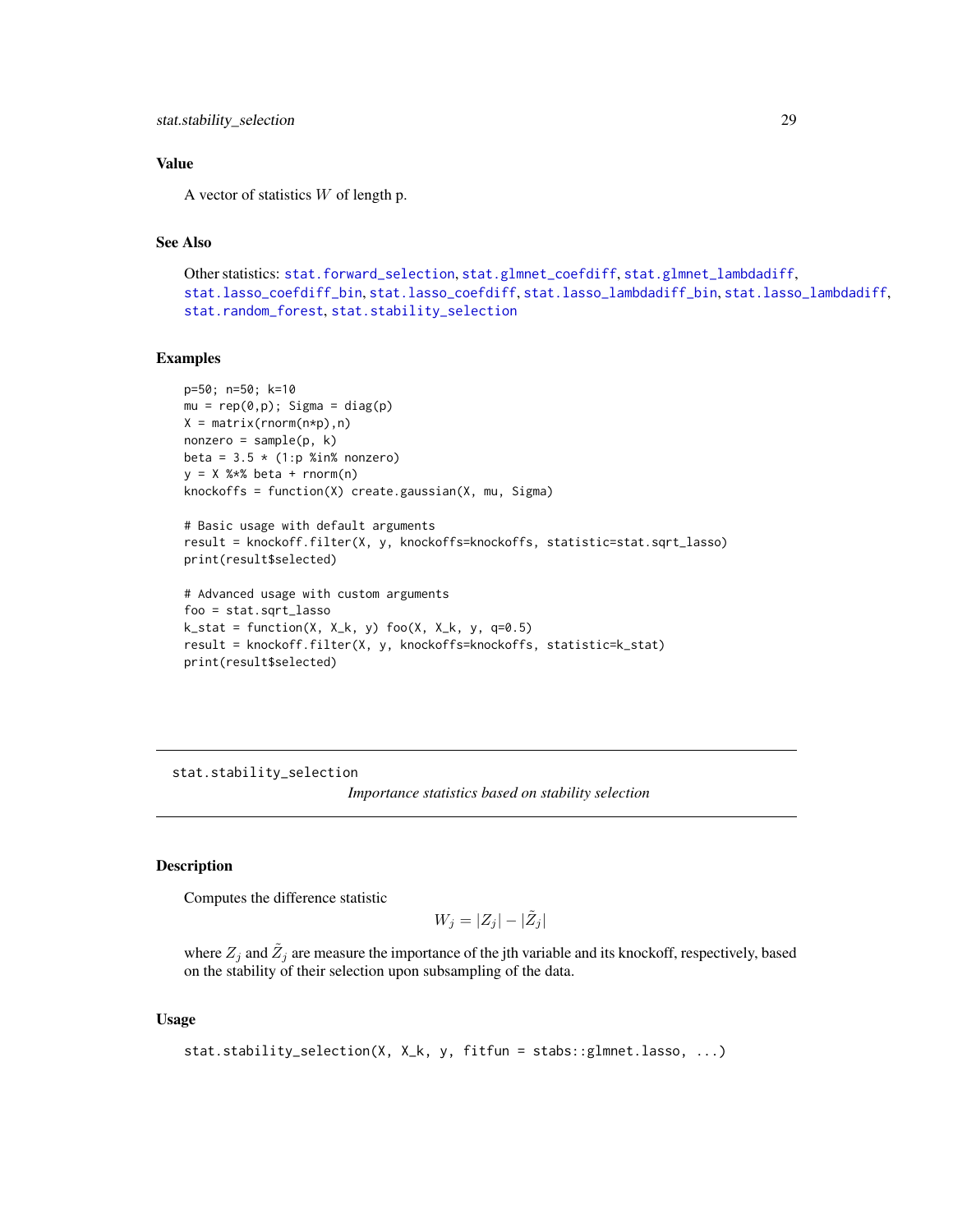# <span id="page-28-0"></span>Value

A vector of statistics  $W$  of length p.

# See Also

```
Other statistics: stat.forward_selection, stat.glmnet_coefdiff, stat.glmnet_lambdadiff,
stat.lasso_coefdiff_bin, stat.lasso_coefdiff, stat.lasso_lambdadiff_bin, stat.lasso_lambdadiff,
stat.random_forest, stat.stability_selection
```
# Examples

```
p=50; n=50; k=10
mu = rep(0,p); Sigma = diag(p)
X = matrix(rnorm(n*p), n)nonzero = sample(p, k)beta = 3.5 \times (1:p %in% = 0.00000)y = X %*% beta + rnorm(n)knockoffs = function(X) create.gaussian(X, mu, Sigma)
```

```
# Basic usage with default arguments
result = knockoff.filter(X, y, knockoffs=knockoffs, statistic=stat.sqrt_lasso)
print(result$selected)
```

```
# Advanced usage with custom arguments
foo = stat.sqrt_lasso
k_{ast} = function(X, X_k, y) foo(X, X_k, y, q=0.5)result = knockoff.filter(X, y, knockoffs=knockoffs, statistic=k_stat)
print(result$selected)
```
<span id="page-28-1"></span>stat.stability\_selection

*Importance statistics based on stability selection*

# Description

Computes the difference statistic

 $W_j = |Z_j| - |\tilde{Z}_j|$ 

where  $Z_j$  and  $\tilde{Z}_j$  are measure the importance of the jth variable and its knockoff, respectively, based on the stability of their selection upon subsampling of the data.

# Usage

```
stat.stability_selection(X, X_k, y, fitfun = stabs::glmnet.lasso, ...)
```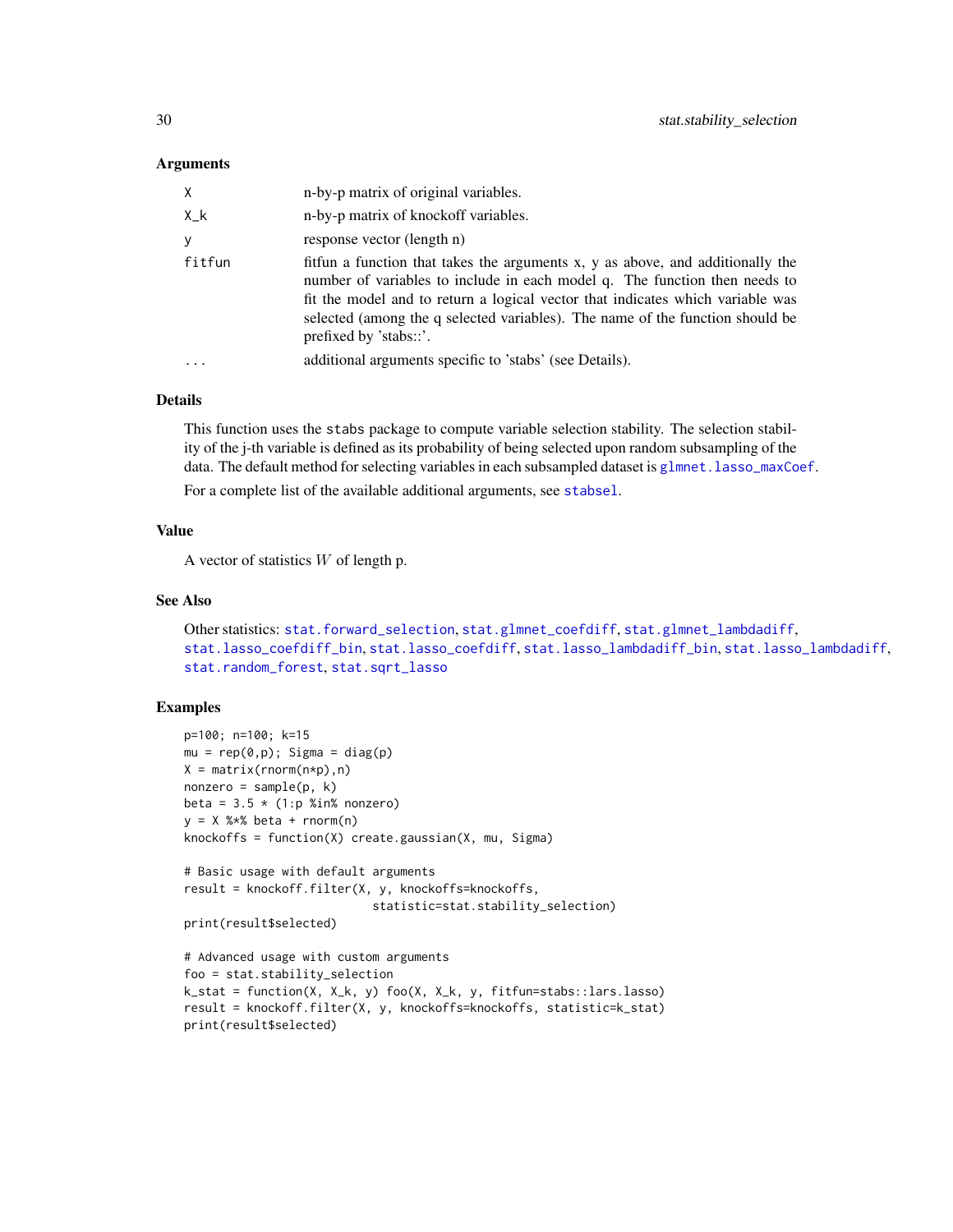# <span id="page-29-0"></span>Arguments

| $\times$ | n-by-p matrix of original variables.                                                                                                                                                                                                                                                                                                                      |
|----------|-----------------------------------------------------------------------------------------------------------------------------------------------------------------------------------------------------------------------------------------------------------------------------------------------------------------------------------------------------------|
| X_k      | n-by-p matrix of knockoff variables.                                                                                                                                                                                                                                                                                                                      |
| <b>y</b> | response vector (length n)                                                                                                                                                                                                                                                                                                                                |
| fitfun   | fittun a function that takes the arguments x, y as above, and additionally the<br>number of variables to include in each model q. The function then needs to<br>fit the model and to return a logical vector that indicates which variable was<br>selected (among the q selected variables). The name of the function should be<br>prefixed by 'stabs::'. |
|          | additional arguments specific to 'stabs' (see Details).                                                                                                                                                                                                                                                                                                   |

# **Details**

This function uses the stabs package to compute variable selection stability. The selection stability of the j-th variable is defined as its probability of being selected upon random subsampling of the data. The default method for selecting variables in each subsampled dataset is glmnet. lasso\_maxCoef.

For a complete list of the available additional arguments, see [stabsel](#page-0-0).

# Value

A vector of statistics  $W$  of length p.

# See Also

```
Other statistics: stat.forward_selection, stat.glmnet_coefdiff, stat.glmnet_lambdadiff,
stat.lasso_coefdiff_bin, stat.lasso_coefdiff, stat.lasso_lambdadiff_bin, stat.lasso_lambdadiff,
stat.random_forest, stat.sqrt_lasso
```
# Examples

```
p=100; n=100; k=15
mu = rep(0,p); Sigma = diag(p)
X = matrix(rnorm(n*p),n)nonzero = sample(p, k)beta = 3.5 * (1:p %in% nonzero)y = X %*% beta + rnorm(n)
knockoffs = function(X) create.gaussian(X, mu, Sigma)
# Basic usage with default arguments
result = knockoff.filter(X, y, knockoffs=knockoffs,
                           statistic=stat.stability_selection)
print(result$selected)
# Advanced usage with custom arguments
foo = stat.stability_selection
k_stat = function(X, X_k, y) foo(X, X_k, y, fitfun=stabs::lars.lasso)
result = knockoff.filter(X, y, knockoffs=knockoffs, statistic=k_stat)
print(result$selected)
```